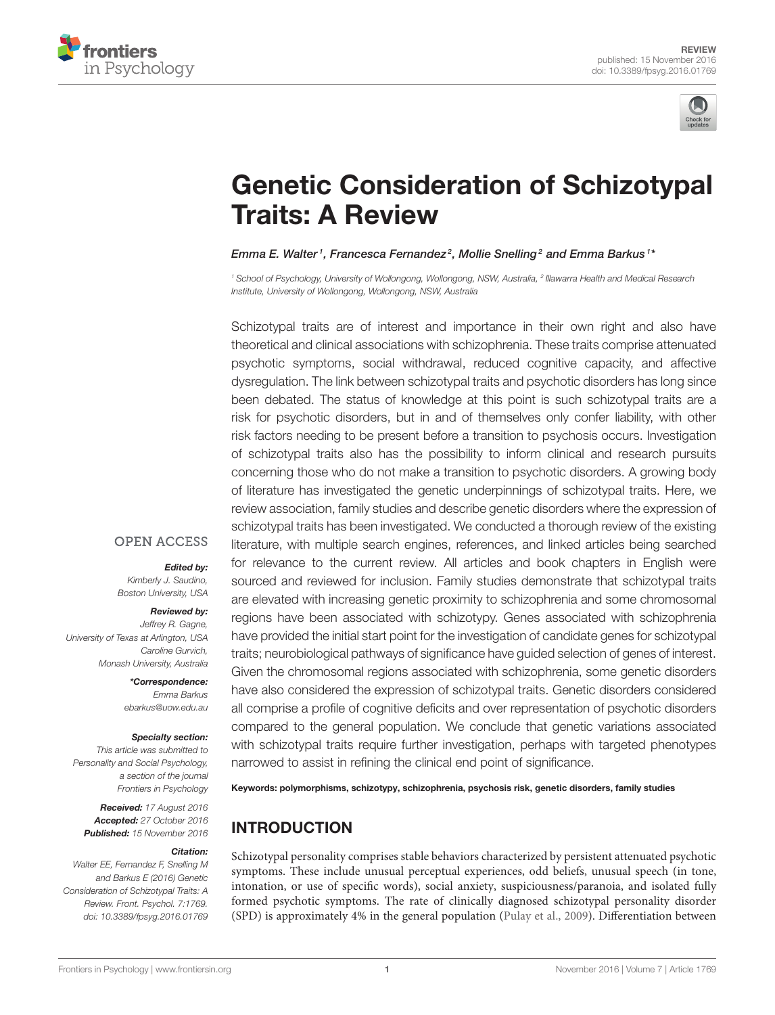



# [Genetic Consideration of Schizotypal](http://journal.frontiersin.org/article/10.3389/fpsyg.2016.01769/abstract) Traits: A Review

### [Emma E. Walter](http://loop.frontiersin.org/people/369544/overview)1, [Francesca Fernandez](http://loop.frontiersin.org/people/66688/overview)<sup>2</sup>, Mollie Snelling<sup>2</sup> and [Emma Barkus](http://loop.frontiersin.org/people/81643/overview)1\*

*<sup>1</sup> School of Psychology, University of Wollongong, Wollongong, NSW, Australia, <sup>2</sup> Illawarra Health and Medical Research Institute, University of Wollongong, Wollongong, NSW, Australia*

Schizotypal traits are of interest and importance in their own right and also have theoretical and clinical associations with schizophrenia. These traits comprise attenuated psychotic symptoms, social withdrawal, reduced cognitive capacity, and affective dysregulation. The link between schizotypal traits and psychotic disorders has long since been debated. The status of knowledge at this point is such schizotypal traits are a risk for psychotic disorders, but in and of themselves only confer liability, with other risk factors needing to be present before a transition to psychosis occurs. Investigation of schizotypal traits also has the possibility to inform clinical and research pursuits concerning those who do not make a transition to psychotic disorders. A growing body of literature has investigated the genetic underpinnings of schizotypal traits. Here, we review association, family studies and describe genetic disorders where the expression of schizotypal traits has been investigated. We conducted a thorough review of the existing literature, with multiple search engines, references, and linked articles being searched for relevance to the current review. All articles and book chapters in English were sourced and reviewed for inclusion. Family studies demonstrate that schizotypal traits are elevated with increasing genetic proximity to schizophrenia and some chromosomal regions have been associated with schizotypy. Genes associated with schizophrenia have provided the initial start point for the investigation of candidate genes for schizotypal traits; neurobiological pathways of significance have guided selection of genes of interest. Given the chromosomal regions associated with schizophrenia, some genetic disorders have also considered the expression of schizotypal traits. Genetic disorders considered all comprise a profile of cognitive deficits and over representation of psychotic disorders compared to the general population. We conclude that genetic variations associated with schizotypal traits require further investigation, perhaps with targeted phenotypes narrowed to assist in refining the clinical end point of significance.

Keywords: polymorphisms, schizotypy, schizophrenia, psychosis risk, genetic disorders, family studies

## INTRODUCTION

Schizotypal personality comprises stable behaviors characterized by persistent attenuated psychotic symptoms. These include unusual perceptual experiences, odd beliefs, unusual speech (in tone, intonation, or use of specific words), social anxiety, suspiciousness/paranoia, and isolated fully formed psychotic symptoms. The rate of clinically diagnosed schizotypal personality disorder (SPD) is approximately 4% in the general population [\(Pulay et al., 2009\)](#page-17-0). Differentiation between

## **OPEN ACCESS**

#### Edited by:

*Kimberly J. Saudino, Boston University, USA*

#### Reviewed by:

*Jeffrey R. Gagne, University of Texas at Arlington, USA Caroline Gurvich, Monash University, Australia*

> \*Correspondence: *Emma Barkus [ebarkus@uow.edu.au](mailto:ebarkus@uow.edu.au)*

#### Specialty section:

*This article was submitted to Personality and Social Psychology, a section of the journal Frontiers in Psychology*

Received: *17 August 2016* Accepted: *27 October 2016* Published: *15 November 2016*

#### Citation:

*Walter EE, Fernandez F, Snelling M and Barkus E (2016) Genetic Consideration of Schizotypal Traits: A Review. Front. Psychol. 7:1769. doi: [10.3389/fpsyg.2016.01769](https://doi.org/10.3389/fpsyg.2016.01769)*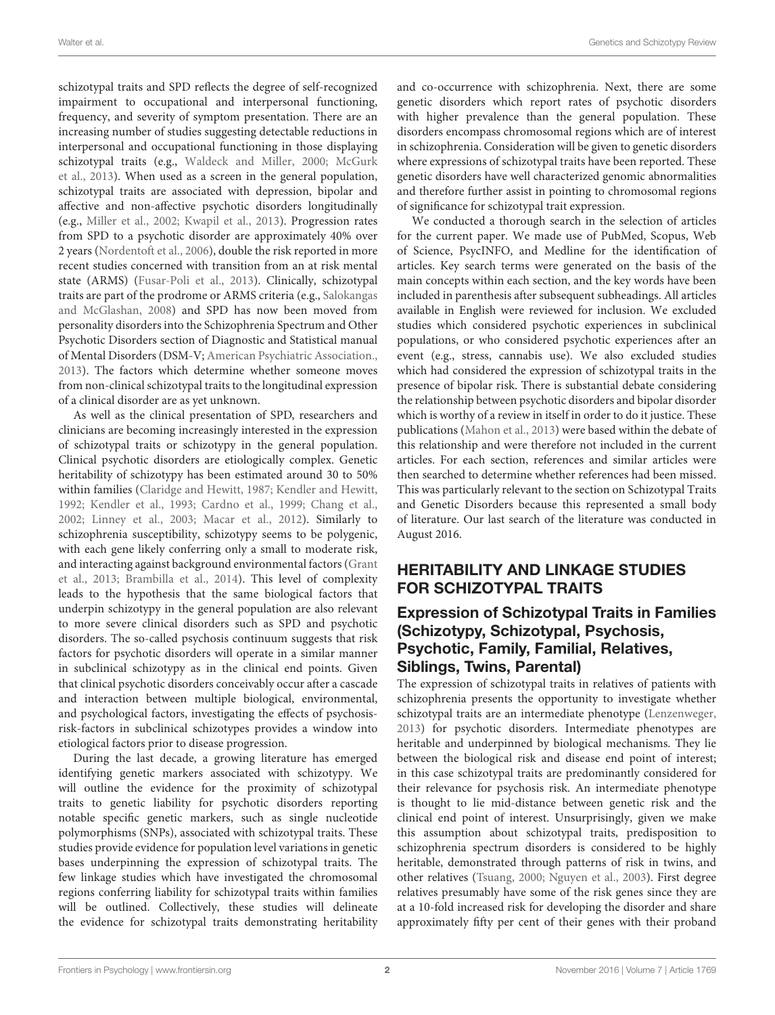schizotypal traits and SPD reflects the degree of self-recognized impairment to occupational and interpersonal functioning, frequency, and severity of symptom presentation. There are an increasing number of studies suggesting detectable reductions in interpersonal and occupational functioning in those displaying schizotypal traits (e.g., [Waldeck and Miller, 2000;](#page-18-0) McGurk et al., [2013\)](#page-16-0). When used as a screen in the general population, schizotypal traits are associated with depression, bipolar and affective and non-affective psychotic disorders longitudinally (e.g., [Miller et al., 2002;](#page-16-1) [Kwapil et al., 2013\)](#page-16-2). Progression rates from SPD to a psychotic disorder are approximately 40% over 2 years [\(Nordentoft et al., 2006\)](#page-16-3), double the risk reported in more recent studies concerned with transition from an at risk mental state (ARMS) [\(Fusar-Poli et al., 2013\)](#page-15-0). Clinically, schizotypal traits are part of the prodrome or ARMS criteria (e.g., Salokangas and McGlashan, [2008\)](#page-17-1) and SPD has now been moved from personality disorders into the Schizophrenia Spectrum and Other Psychotic Disorders section of Diagnostic and Statistical manual of Mental Disorders (DSM-V; [American Psychiatric Association.,](#page-14-0) [2013\)](#page-14-0). The factors which determine whether someone moves from non-clinical schizotypal traits to the longitudinal expression of a clinical disorder are as yet unknown.

As well as the clinical presentation of SPD, researchers and clinicians are becoming increasingly interested in the expression of schizotypal traits or schizotypy in the general population. Clinical psychotic disorders are etiologically complex. Genetic heritability of schizotypy has been estimated around 30 to 50% within families [\(Claridge and Hewitt, 1987;](#page-14-1) [Kendler and Hewitt,](#page-15-1) [1992;](#page-15-1) [Kendler et al., 1993;](#page-16-4) [Cardno et al., 1999;](#page-14-2) [Chang et al.,](#page-14-3) [2002;](#page-14-3) [Linney et al., 2003;](#page-16-5) [Macar et al., 2012\)](#page-16-6). Similarly to schizophrenia susceptibility, schizotypy seems to be polygenic, with each gene likely conferring only a small to moderate risk, and interacting against background environmental factors(Grant et al., [2013;](#page-15-2) [Brambilla et al., 2014\)](#page-14-4). This level of complexity leads to the hypothesis that the same biological factors that underpin schizotypy in the general population are also relevant to more severe clinical disorders such as SPD and psychotic disorders. The so-called psychosis continuum suggests that risk factors for psychotic disorders will operate in a similar manner in subclinical schizotypy as in the clinical end points. Given that clinical psychotic disorders conceivably occur after a cascade and interaction between multiple biological, environmental, and psychological factors, investigating the effects of psychosisrisk-factors in subclinical schizotypes provides a window into etiological factors prior to disease progression.

During the last decade, a growing literature has emerged identifying genetic markers associated with schizotypy. We will outline the evidence for the proximity of schizotypal traits to genetic liability for psychotic disorders reporting notable specific genetic markers, such as single nucleotide polymorphisms (SNPs), associated with schizotypal traits. These studies provide evidence for population level variations in genetic bases underpinning the expression of schizotypal traits. The few linkage studies which have investigated the chromosomal regions conferring liability for schizotypal traits within families will be outlined. Collectively, these studies will delineate the evidence for schizotypal traits demonstrating heritability and co-occurrence with schizophrenia. Next, there are some genetic disorders which report rates of psychotic disorders with higher prevalence than the general population. These disorders encompass chromosomal regions which are of interest in schizophrenia. Consideration will be given to genetic disorders where expressions of schizotypal traits have been reported. These genetic disorders have well characterized genomic abnormalities and therefore further assist in pointing to chromosomal regions of significance for schizotypal trait expression.

We conducted a thorough search in the selection of articles for the current paper. We made use of PubMed, Scopus, Web of Science, PsycINFO, and Medline for the identification of articles. Key search terms were generated on the basis of the main concepts within each section, and the key words have been included in parenthesis after subsequent subheadings. All articles available in English were reviewed for inclusion. We excluded studies which considered psychotic experiences in subclinical populations, or who considered psychotic experiences after an event (e.g., stress, cannabis use). We also excluded studies which had considered the expression of schizotypal traits in the presence of bipolar risk. There is substantial debate considering the relationship between psychotic disorders and bipolar disorder which is worthy of a review in itself in order to do it justice. These publications [\(Mahon et al., 2013\)](#page-16-7) were based within the debate of this relationship and were therefore not included in the current articles. For each section, references and similar articles were then searched to determine whether references had been missed. This was particularly relevant to the section on Schizotypal Traits and Genetic Disorders because this represented a small body of literature. Our last search of the literature was conducted in August 2016.

# HERITABILITY AND LINKAGE STUDIES FOR SCHIZOTYPAL TRAITS

## Expression of Schizotypal Traits in Families (Schizotypy, Schizotypal, Psychosis, Psychotic, Family, Familial, Relatives, Siblings, Twins, Parental)

The expression of schizotypal traits in relatives of patients with schizophrenia presents the opportunity to investigate whether schizotypal traits are an intermediate phenotype [\(Lenzenweger,](#page-16-8) [2013\)](#page-16-8) for psychotic disorders. Intermediate phenotypes are heritable and underpinned by biological mechanisms. They lie between the biological risk and disease end point of interest; in this case schizotypal traits are predominantly considered for their relevance for psychosis risk. An intermediate phenotype is thought to lie mid-distance between genetic risk and the clinical end point of interest. Unsurprisingly, given we make this assumption about schizotypal traits, predisposition to schizophrenia spectrum disorders is considered to be highly heritable, demonstrated through patterns of risk in twins, and other relatives [\(Tsuang, 2000;](#page-17-2) [Nguyen et al., 2003\)](#page-16-9). First degree relatives presumably have some of the risk genes since they are at a 10-fold increased risk for developing the disorder and share approximately fifty per cent of their genes with their proband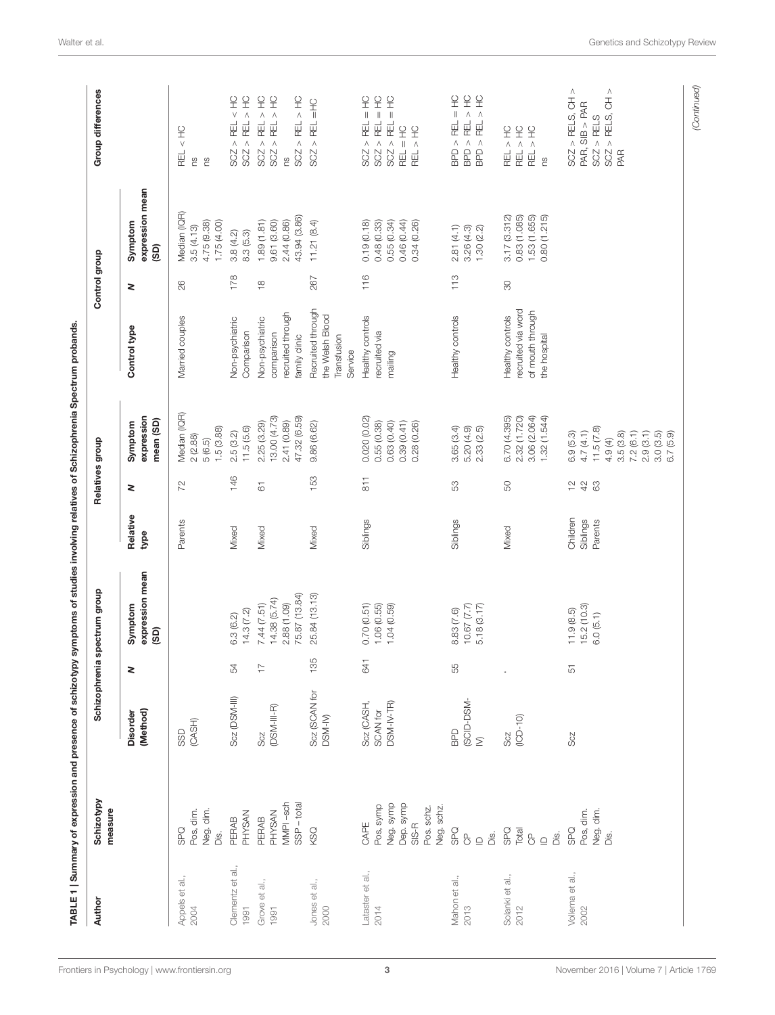<span id="page-2-0"></span>

| Author                   | Schizotypy<br>measure                                                              | Schizophrenia                        |                          | spectrum group                                             |                                 | Relatives group                                       |                                                                                                         |                                                                            | Control group         |                                                                     | Group differences                                                                                                                                                          |
|--------------------------|------------------------------------------------------------------------------------|--------------------------------------|--------------------------|------------------------------------------------------------|---------------------------------|-------------------------------------------------------|---------------------------------------------------------------------------------------------------------|----------------------------------------------------------------------------|-----------------------|---------------------------------------------------------------------|----------------------------------------------------------------------------------------------------------------------------------------------------------------------------|
|                          |                                                                                    | (Method)<br><b>Disorder</b>          | $\,$                     | expression mean<br>Symptom<br>(GS)                         | Relative<br>type                | 2                                                     | expression<br>mean (SD)<br>Symptom                                                                      | Control type                                                               | 2                     | expression mean<br>Symptom<br>(GS)                                  |                                                                                                                                                                            |
| Appels et al.,<br>2004   | Neg. dim.<br>Pos, dim.<br><b>OdS</b><br>Dis.                                       | (CASH)<br>SSD                        |                          |                                                            | Parents                         | 72                                                    | Median (IQR)<br>1.5(3.88)<br>2(2.88)<br>(6.5)<br>$\omega$                                               | Married couples                                                            | 26                    | Median (IQR)<br>4.75 (9.38)<br>1.75(4.00)<br>3.5(4.13)              | $\frac{1}{\sqrt{2}}$<br><b>REL</b><br>Γg<br>SU <sub>0</sub>                                                                                                                |
| Clementz et al.,<br>1991 | <b>PHYSAN</b><br>PERAB                                                             | Scz (DSM-III)                        | 54                       | 14.3(7.2)<br>6.3 (6.2)                                     | Mixed                           | 146                                                   | 11.5(5.6)<br>2.5(3.2)                                                                                   | Non-psychiatric<br>Comparison                                              | 178                   | 8.3(5.3)<br>3.8(4.2)                                                | $\frac{1}{\sqrt{2}}$<br>$\frac{\textstyle \mathbf{C}}{\textstyle \mathbf{L}}$<br>SCZ > REL ><br>$>$ REL<br>SCZ                                                             |
| Grove et al.,<br>1991    | MMPI-sch<br>$SSP - total$<br><b>PHYSAN</b><br>PERAB                                | $(DSM-III-R)$<br>Scz                 | $\overline{\phantom{a}}$ | 75.87 (13.84)<br>14.38 (5.74)<br>7.44(7.51)<br>2.88 (1.09) | Mixed                           | $\overline{6}$                                        | 47.32 (6.59)<br>13.00 (4.73)<br>2.41 (0.89)<br>2.25 (3.29)                                              | recruited through<br>Non-psychiatric<br>comparison<br>family clinic        | $\frac{\infty}{\tau}$ | 43.94 (3.86)<br>9.61(3.60)<br>2.44 (0.86)<br>1.89(1.81)             | $\frac{1}{2}$<br>$\frac{Q}{L}$<br>$\frac{1}{2}$<br>SCZ > REL ><br>$>$ REL $>$<br>SCZ > REL<br>SCZ<br>SU <sub>0</sub>                                                       |
| Jones et al.,<br>2000    | KSQ                                                                                | Scz (SCAN for<br>DSM-M)              | 135                      | 25.84 (13.13)                                              | Mixed                           | 153                                                   | 9.86 (6.62)                                                                                             | Recruited through<br>the Welsh Blood<br>Transfusion<br>Service             | 267                   | 11.21(8.4)                                                          | $\frac{1}{2}$<br><b>REL</b><br>$\wedge$<br>SCZ.                                                                                                                            |
| Lataster et al.,<br>2014 | Neg. symp<br>Dep. symp<br>Pos, symp<br>Pos. schz.<br>Neg. schz.<br>$SIS-R$<br>CAPE | Scz (CASH,<br>DSM-IV-TR)<br>SCAN for | 64                       | $0.70(0.51)$<br>$1.06(0.55)$<br>1.04(0.59)                 | Siblings                        | $\overline{811}$                                      | 0.020 (0.02)<br>0.63(0.40)<br>0.39(0.41)<br>0.55(0.38)<br>0.28(0.26)                                    | Healthy controls<br>recruited via<br>mailing                               | 116                   | 0.55(0.34)<br>0.46 (0.44)<br>0.19(0.18)<br>0.48(0.33)<br>0.34(0.26) | £<br>$\frac{C}{L}$<br>$\frac{Q}{L}$<br>$\parallel$<br>$\parallel$<br>$\, \parallel$<br>SCZ > REL<br>SCZ > REL<br>$>$ REL<br>$\frac{1}{2}$<br>REL > HC<br>SCZ<br><b>REL</b> |
| Mahon et al.,<br>2013    | <b>SPQ</b><br>Dis.<br>$\sigma$<br>$\supseteq$                                      | (SCID-DSM-<br><b>BPD</b><br>$\geq$   | 55                       | 10.67(7.7)<br>5.18(3.17)<br>8.83 (7.6)                     | Siblings                        | 53                                                    | 3.65(3.4)<br>5.20 (4.9)<br>2.33 (2.5)                                                                   | Healthy controls                                                           | 113                   | 2.81(4.1)<br>$3.26(4.3)$<br>1.30 $(2.2)$                            | BPD > REL > HC<br>$= H$<br>$\frac{Q}{\Lambda}$<br>足<br><br>足<br><br>BPD ><br>$\wedge$<br>BPD                                                                               |
| Solanki et al.,<br>2012  | <b>SPQ</b><br>Total<br>$\frac{p}{\sqrt{2}}$<br>Dis.<br>$\mathbf{r}$                | $(10D - 10)$<br>Scz                  | i,                       |                                                            | Mixed                           | 50                                                    | 2.32 (1.720)<br>3.06 (2.064)<br>1.32 (1.544)<br>6.70(4.395)                                             | recruited via word<br>of mouth through<br>Healthy controls<br>the hospital | $\infty$              | 3.17(3.312)<br>1.53 (1.655)<br>0.80 (1.215)<br>0.83(1.085)          | $\frac{\textstyle \mathbf{C}}{\textstyle \mathbf{L}}$<br>$E_{\pm}$<br>오<br>$\land$<br>REL ><br>$\wedge$<br>REL<br><b>REL</b><br>ξ                                          |
| Vollema et al.,<br>2002  | Neg. dim.<br>Pos, dim.<br><b>SPQ</b><br>Dis.                                       | Soz                                  | $\overline{5}$           | 15.2(10.3)<br>11.9(8.5)<br>6.0(5.1)                        | Children<br>Siblings<br>Parents | $\stackrel{\textstyle\circ}{\textstyle\cdot}$<br>$42$ | 11.5(7.8)<br>4.7(4.1)<br>6.9(5.3)<br>3.5(3.8)<br>7.2(6.1)<br>2.9(3.1)<br>3.0(3.5)<br>6.7(5.9)<br>4.9(4) |                                                                            |                       |                                                                     | Λ<br>$SCZ > FELS$<br>$SCZ > FELS, CH >$<br>$>$ RELS, CH<br>$PAR$ , SIB $>$ PAR<br>SCZ.<br>PAR                                                                              |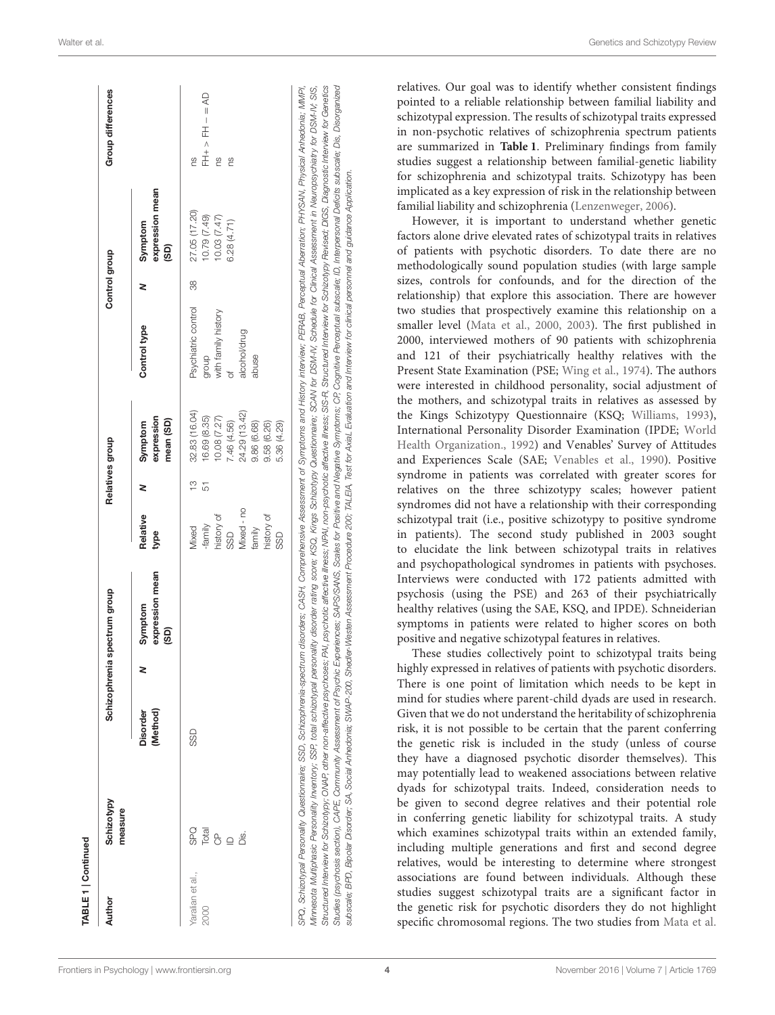| Author           | Schizotypy<br>measure |                             | Schizophrenia spectrum group       |                  |         | Relatives group                    |                     | Control group |                                    | Group differences |
|------------------|-----------------------|-----------------------------|------------------------------------|------------------|---------|------------------------------------|---------------------|---------------|------------------------------------|-------------------|
|                  |                       | (Method)<br><b>Disorder</b> | expression mean<br>Symptom<br>(GS) | Relative<br>type | 2       | expression<br>mean (SD)<br>Symptom | Control type        | z             | expression mean<br>Symptom<br>(SD) |                   |
| Yaralian et al., | SPQ                   | SSD                         |                                    | Mixed            | က်<br>( | 32.83 (16.04)                      | Psychiatric control | 88            | 27.05 (17.20)                      | œ                 |
| 2000             | Total                 |                             |                                    | -family          | 51      | 16.69 (8.35)                       | dhoub               |               | 10.79 (7.49)                       | QV = - HH < +HL   |
|                  | $\sigma$              |                             |                                    | history of       |         | 10.08 (7.27)                       | with family history |               | 10.03 (7.47)                       | 9S                |
|                  | $\supseteq$           |                             |                                    | SSD              |         | 7.46 (4.56)                        |                     |               | 6.28(4.71)                         | œ,                |
|                  | ΰś.                   |                             |                                    | Mixed - no       |         | 24.29 (13.42)                      | alcohol/drug        |               |                                    |                   |
|                  |                       |                             |                                    | family           |         | 9.86 (6.68)                        | abuse               |               |                                    |                   |
|                  |                       |                             |                                    | history of       |         | 9.58 (6.26)                        |                     |               |                                    |                   |
|                  |                       |                             |                                    | SSD              |         | 5.36 (4.29)                        |                     |               |                                    |                   |

relatives. Our goal was to identify whether consistent findings pointed to a reliable relationship between familial liability and schizotypal expression. The results of schizotypal traits expressed in non-psychotic relatives of schizophrenia spectrum patients are summarized in **[Table 1](#page-2-0)**. Preliminary findings from family studies suggest a relationship between familial-genetic liability for schizophrenia and schizotypal traits. Schizotypy has been implicated as a key expression of risk in the relationship between familial liability and schizophrenia [\(Lenzenweger, 2006\)](#page-16-11).

However, it is important to understand whether genetic factors alone drive elevated rates of schizotypal traits in relatives of patients with psychotic disorders. To date there are no methodologically sound population studies (with large sample sizes, controls for confounds, and for the direction of the relationship) that explore this association. There are however two studies that prospectively examine this relationship on a smaller level [\(Mata et al., 2000,](#page-16-12) [2003\)](#page-16-13). The first published in 2000, interviewed mothers of 90 patients with schizophrenia and 121 of their psychiatrically healthy relatives with the Present State Examination (PSE; [Wing et al., 1974\)](#page-18-2). The authors were interested in childhood personality, social adjustment of the mothers, and schizotypal traits in relatives as assessed by the Kings Schizotypy Questionnaire (KSQ; [Williams, 1993\)](#page-18-3), International Personality Disorder Examination (IPDE; World Health Organization., [1992\)](#page-18-4) and Venables' Survey of Attitudes and Experiences Scale (SAE; [Venables et al., 1990\)](#page-17-5). Positive syndrome in patients was correlated with greater scores for relatives on the three schizotypy scales; however patient syndromes did not have a relationship with their corresponding schizotypal trait (i.e., positive schizotypy to positive syndrome in patients). The second study published in 2003 sought to elucidate the link between schizotypal traits in relatives and psychopathological syndromes in patients with psychoses. Interviews were conducted with 172 patients admitted with psychosis (using the PSE) and 263 of their psychiatrically healthy relatives (using the SAE, KSQ, and IPDE). Schneiderian symptoms in patients were related to higher scores on both positive and negative schizotypal features in relatives.

These studies collectively point to schizotypal traits being highly expressed in relatives of patients with psychotic disorders. There is one point of limitation which needs to be kept in mind for studies where parent-child dyads are used in research. Given that we do not understand the heritability of schizophrenia risk, it is not possible to be certain that the parent conferring the genetic risk is included in the study (unless of course they have a diagnosed psychotic disorder themselves). This may potentially lead to weakened associations between relative dyads for schizotypal traits. Indeed, consideration needs to be given to second degree relatives and their potential role in conferring genetic liability for schizotypal traits. A study which examines schizotypal traits within an extended family, including multiple generations and first and second degree relatives, would be interesting to determine where strongest associations are found between individuals. Although these studies suggest schizotypal traits are a significant factor in the genetic risk for psychotic disorders they do not highlight specific chromosomal regions. The two studies from [Mata et al.](#page-16-12)

 $\mathbb{L}$ 

subscale; BPD, Bipolar Disorder; SA, Social Anhedonia; SWAP-200, SSection Assessment Procedure 200; TALEA, Test for AxiaL Evaluation and Interview for clinical personnel and guidance Application.

subscale; BPD, Bipolar Disorder; SA, Social Anhedonia; SWAP-200, Shedler-Westen Assessment Procedure 200; TALEIA,

Test for AxiaL Evaluation and Interview for clinical personnel and guidance Application.

 $\frac{1}{2}$   $\frac{1}{2}$   $\frac{1}{2}$   $\frac{1}{2}$   $\frac{1}{2}$   $\frac{1}{2}$   $\frac{1}{2}$   $\frac{1}{2}$   $\frac{1}{2}$   $\frac{1}{2}$   $\frac{1}{2}$   $\frac{1}{2}$   $\frac{1}{2}$   $\frac{1}{2}$   $\frac{1}{2}$   $\frac{1}{2}$   $\frac{1}{2}$   $\frac{1}{2}$   $\frac{1}{2}$   $\frac{1}{2}$   $\frac{1}{2}$   $\frac{1}{2}$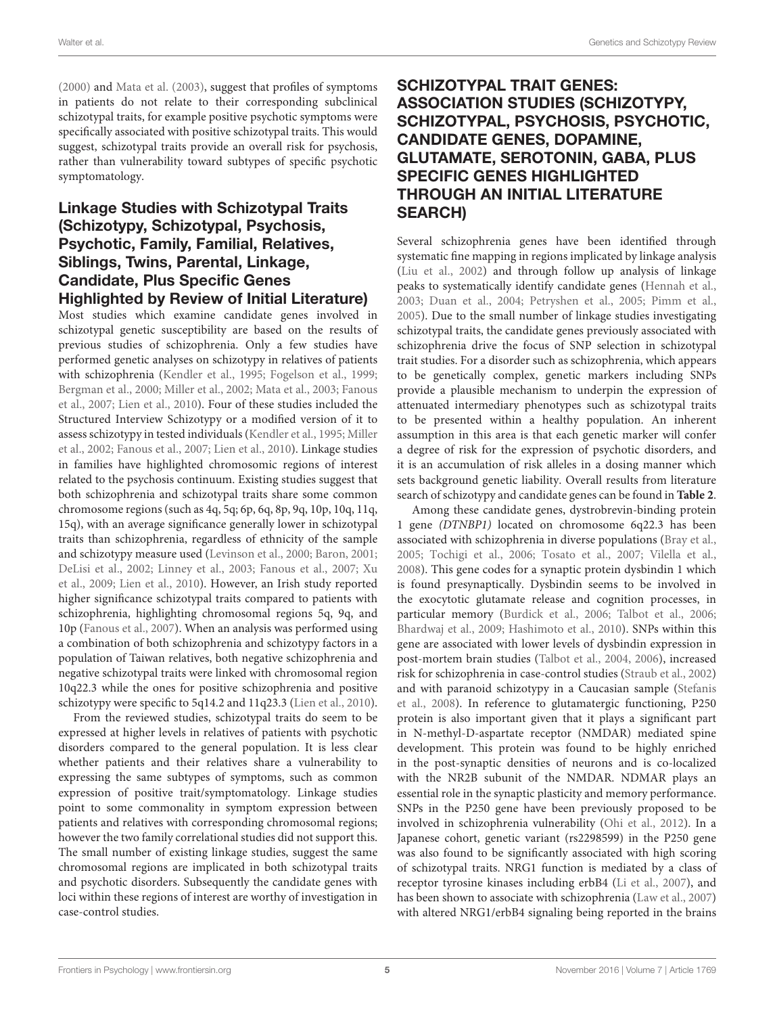[\(2000\)](#page-16-12) and [Mata et al. \(2003\)](#page-16-13), suggest that profiles of symptoms in patients do not relate to their corresponding subclinical schizotypal traits, for example positive psychotic symptoms were specifically associated with positive schizotypal traits. This would suggest, schizotypal traits provide an overall risk for psychosis, rather than vulnerability toward subtypes of specific psychotic symptomatology.

# Linkage Studies with Schizotypal Traits (Schizotypy, Schizotypal, Psychosis, Psychotic, Family, Familial, Relatives, Siblings, Twins, Parental, Linkage, Candidate, Plus Specific Genes Highlighted by Review of Initial Literature)

Most studies which examine candidate genes involved in schizotypal genetic susceptibility are based on the results of previous studies of schizophrenia. Only a few studies have performed genetic analyses on schizotypy in relatives of patients with schizophrenia [\(Kendler et al., 1995;](#page-16-14) [Fogelson et al., 1999;](#page-15-6) [Bergman et al., 2000;](#page-14-6) [Miller et al., 2002;](#page-16-1) [Mata et al., 2003;](#page-16-13) Fanous et al., [2007;](#page-15-7) [Lien et al., 2010\)](#page-16-15). Four of these studies included the Structured Interview Schizotypy or a modified version of it to assess schizotypy in tested individuals [\(Kendler et al., 1995;](#page-16-14) Miller et al., [2002;](#page-16-1) [Fanous et al., 2007;](#page-15-7) [Lien et al., 2010\)](#page-16-15). Linkage studies in families have highlighted chromosomic regions of interest related to the psychosis continuum. Existing studies suggest that both schizophrenia and schizotypal traits share some common chromosome regions (such as 4q, 5q; 6p, 6q, 8p, 9q, 10p, 10q, 11q, 15q), with an average significance generally lower in schizotypal traits than schizophrenia, regardless of ethnicity of the sample and schizotypy measure used [\(Levinson et al., 2000;](#page-16-16) [Baron, 2001;](#page-14-7) [DeLisi et al., 2002;](#page-15-8) [Linney et al., 2003;](#page-16-5) [Fanous et al., 2007;](#page-15-7) Xu et al., [2009;](#page-18-5) [Lien et al., 2010\)](#page-16-15). However, an Irish study reported higher significance schizotypal traits compared to patients with schizophrenia, highlighting chromosomal regions 5q, 9q, and 10p [\(Fanous et al., 2007\)](#page-15-7). When an analysis was performed using a combination of both schizophrenia and schizotypy factors in a population of Taiwan relatives, both negative schizophrenia and negative schizotypal traits were linked with chromosomal region 10q22.3 while the ones for positive schizophrenia and positive schizotypy were specific to 5q14.2 and 11q23.3 [\(Lien et al., 2010\)](#page-16-15).

From the reviewed studies, schizotypal traits do seem to be expressed at higher levels in relatives of patients with psychotic disorders compared to the general population. It is less clear whether patients and their relatives share a vulnerability to expressing the same subtypes of symptoms, such as common expression of positive trait/symptomatology. Linkage studies point to some commonality in symptom expression between patients and relatives with corresponding chromosomal regions; however the two family correlational studies did not support this. The small number of existing linkage studies, suggest the same chromosomal regions are implicated in both schizotypal traits and psychotic disorders. Subsequently the candidate genes with loci within these regions of interest are worthy of investigation in case-control studies.

# SCHIZOTYPAL TRAIT GENES: ASSOCIATION STUDIES (SCHIZOTYPY, SCHIZOTYPAL, PSYCHOSIS, PSYCHOTIC, CANDIDATE GENES, DOPAMINE, GLUTAMATE, SEROTONIN, GABA, PLUS SPECIFIC GENES HIGHLIGHTED THROUGH AN INITIAL LITERATURE SEARCH)

Several schizophrenia genes have been identified through systematic fine mapping in regions implicated by linkage analysis [\(Liu et al., 2002\)](#page-16-17) and through follow up analysis of linkage peaks to systematically identify candidate genes [\(Hennah et al.,](#page-15-9) [2003;](#page-15-9) [Duan et al., 2004;](#page-15-10) [Petryshen et al., 2005;](#page-16-18) [Pimm et al.,](#page-17-6) [2005\)](#page-17-6). Due to the small number of linkage studies investigating schizotypal traits, the candidate genes previously associated with schizophrenia drive the focus of SNP selection in schizotypal trait studies. For a disorder such as schizophrenia, which appears to be genetically complex, genetic markers including SNPs provide a plausible mechanism to underpin the expression of attenuated intermediary phenotypes such as schizotypal traits to be presented within a healthy population. An inherent assumption in this area is that each genetic marker will confer a degree of risk for the expression of psychotic disorders, and it is an accumulation of risk alleles in a dosing manner which sets background genetic liability. Overall results from literature search of schizotypy and candidate genes can be found in **[Table 2](#page-5-0)**.

Among these candidate genes, dystrobrevin-binding protein 1 gene (DTNBP1) located on chromosome 6q22.3 has been associated with schizophrenia in diverse populations [\(Bray et al.,](#page-14-8) [2005;](#page-14-8) [Tochigi et al., 2006;](#page-17-7) [Tosato et al., 2007;](#page-17-8) [Vilella et al.,](#page-17-9) [2008\)](#page-17-9). This gene codes for a synaptic protein dysbindin 1 which is found presynaptically. Dysbindin seems to be involved in the exocytotic glutamate release and cognition processes, in particular memory [\(Burdick et al., 2006;](#page-14-9) [Talbot et al., 2006;](#page-17-10) [Bhardwaj et al., 2009;](#page-14-10) [Hashimoto et al., 2010\)](#page-15-11). SNPs within this gene are associated with lower levels of dysbindin expression in post-mortem brain studies [\(Talbot et al., 2004,](#page-17-11) [2006\)](#page-17-10), increased risk for schizophrenia in case-control studies [\(Straub et al., 2002\)](#page-17-12) and with paranoid schizotypy in a Caucasian sample (Stefanis et al., [2008\)](#page-17-13). In reference to glutamatergic functioning, P250 protein is also important given that it plays a significant part in N-methyl-D-aspartate receptor (NMDAR) mediated spine development. This protein was found to be highly enriched in the post-synaptic densities of neurons and is co-localized with the NR2B subunit of the NMDAR. NDMAR plays an essential role in the synaptic plasticity and memory performance. SNPs in the P250 gene have been previously proposed to be involved in schizophrenia vulnerability [\(Ohi et al., 2012\)](#page-16-19). In a Japanese cohort, genetic variant (rs2298599) in the P250 gene was also found to be significantly associated with high scoring of schizotypal traits. NRG1 function is mediated by a class of receptor tyrosine kinases including erbB4 [\(Li et al., 2007\)](#page-16-20), and has been shown to associate with schizophrenia [\(Law et al., 2007\)](#page-16-21) with altered NRG1/erbB4 signaling being reported in the brains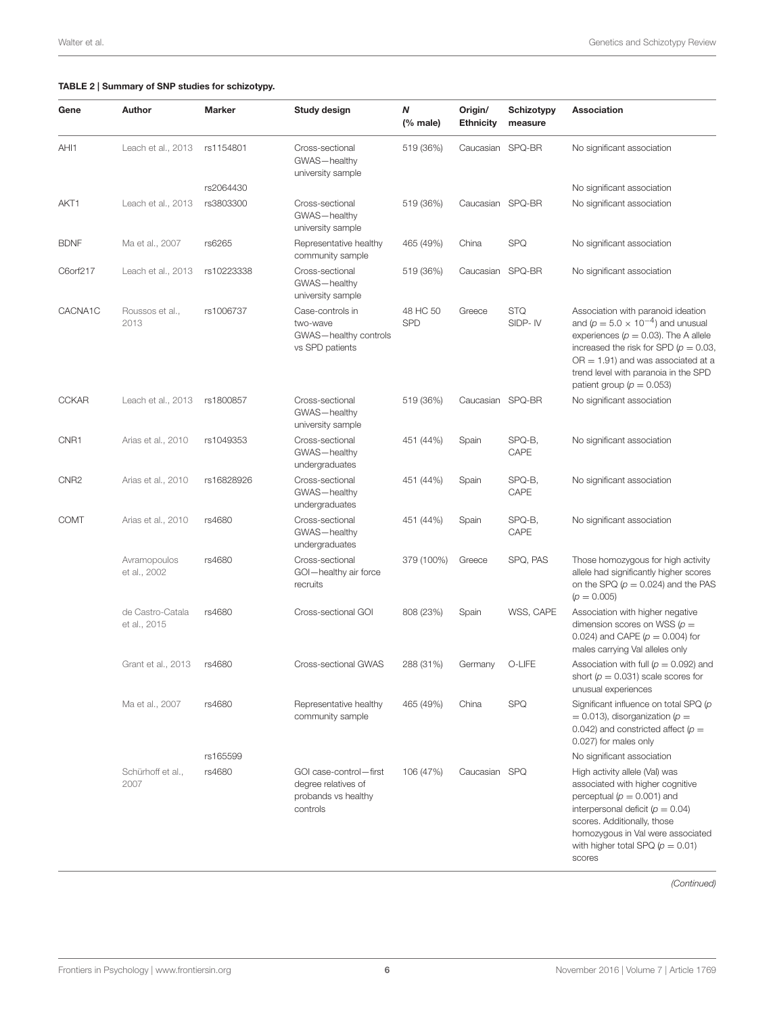## <span id="page-5-0"></span>TABLE 2 | Summary of SNP studies for schizotypy.

| Gene             | Author                           | Marker     | Study design                                                                     | Ν<br>$(% \mathbf{A})$ (% male) | Origin/<br><b>Ethnicity</b> | Schizotypy<br>measure | Association                                                                                                                                                                                                                                                                                   |
|------------------|----------------------------------|------------|----------------------------------------------------------------------------------|--------------------------------|-----------------------------|-----------------------|-----------------------------------------------------------------------------------------------------------------------------------------------------------------------------------------------------------------------------------------------------------------------------------------------|
| AHI1             | Leach et al., 2013               | rs1154801  | Cross-sectional<br>GWAS-healthy<br>university sample                             | 519 (36%)                      | Caucasian SPQ-BR            |                       | No significant association                                                                                                                                                                                                                                                                    |
|                  |                                  | rs2064430  |                                                                                  |                                |                             |                       | No significant association                                                                                                                                                                                                                                                                    |
| AKT1             | Leach et al., 2013               | rs3803300  | Cross-sectional<br>GWAS-healthy<br>university sample                             | 519 (36%)                      | Caucasian SPQ-BR            |                       | No significant association                                                                                                                                                                                                                                                                    |
| <b>BDNF</b>      | Ma et al., 2007                  | rs6265     | Representative healthy<br>community sample                                       | 465 (49%)                      | China                       | <b>SPQ</b>            | No significant association                                                                                                                                                                                                                                                                    |
| C6orf217         | Leach et al., 2013               | rs10223338 | Cross-sectional<br>GWAS-healthy<br>university sample                             | 519 (36%)                      | Caucasian                   | SPQ-BR                | No significant association                                                                                                                                                                                                                                                                    |
| CACNA1C          | Roussos et al.,<br>2013          | rs1006737  | Case-controls in<br>two-wave<br>GWAS-healthy controls<br>vs SPD patients         | 48 HC 50<br><b>SPD</b>         | Greece                      | <b>STQ</b><br>SIDP-IV | Association with paranoid ideation<br>and ( $p = 5.0 \times 10^{-4}$ ) and unusual<br>experiences ( $p = 0.03$ ). The A allele<br>increased the risk for SPD ( $p = 0.03$ ,<br>$OR = 1.91$ ) and was associated at a<br>trend level with paranoia in the SPD<br>patient group ( $p = 0.053$ ) |
| <b>CCKAR</b>     | Leach et al., 2013               | rs1800857  | Cross-sectional<br>GWAS-healthy<br>university sample                             | 519 (36%)                      | Caucasian SPQ-BR            |                       | No significant association                                                                                                                                                                                                                                                                    |
| CNR1             | Arias et al., 2010               | rs1049353  | Cross-sectional<br>GWAS-healthy<br>undergraduates                                | 451 (44%)                      | Spain                       | SPQ-B,<br>CAPE        | No significant association                                                                                                                                                                                                                                                                    |
| CNR <sub>2</sub> | Arias et al., 2010               | rs16828926 | Cross-sectional<br>GWAS-healthy<br>undergraduates                                | 451 (44%)                      | Spain                       | SPQ-B,<br>CAPE        | No significant association                                                                                                                                                                                                                                                                    |
| <b>COMT</b>      | Arias et al., 2010               | rs4680     | Cross-sectional<br>GWAS-healthy<br>undergraduates                                | 451 (44%)                      | Spain                       | SPQ-B,<br>CAPE        | No significant association                                                                                                                                                                                                                                                                    |
|                  | Avramopoulos<br>et al., 2002     | rs4680     | Cross-sectional<br>GOI-healthy air force<br>recruits                             | 379 (100%)                     | Greece                      | SPQ, PAS              | Those homozygous for high activity<br>allele had significantly higher scores<br>on the SPQ $(p = 0.024)$ and the PAS<br>$(p = 0.005)$                                                                                                                                                         |
|                  | de Castro-Catala<br>et al., 2015 | rs4680     | Cross-sectional GOI                                                              | 808 (23%)                      | Spain                       | WSS, CAPE             | Association with higher negative<br>dimension scores on WSS ( $p =$<br>0.024) and CAPE ( $p = 0.004$ ) for<br>males carrying Val alleles only                                                                                                                                                 |
|                  | Grant et al., 2013               | rs4680     | Cross-sectional GWAS                                                             | 288 (31%)                      | Germany                     | O-LIFE                | Association with full ( $p = 0.092$ ) and<br>short ( $p = 0.031$ ) scale scores for<br>unusual experiences                                                                                                                                                                                    |
|                  | Ma et al., 2007                  | rs4680     | Representative healthy<br>community sample                                       | 465 (49%)                      | China                       | <b>SPQ</b>            | Significant influence on total SPQ (p<br>$=$ 0.013), disorganization ( $p =$<br>0.042) and constricted affect ( $p =$<br>0.027) for males only                                                                                                                                                |
|                  |                                  | rs165599   |                                                                                  |                                |                             |                       | No significant association                                                                                                                                                                                                                                                                    |
|                  | Schürhoff et al.,<br>2007        | rs4680     | GOI case-control-first<br>degree relatives of<br>probands vs healthy<br>controls | 106 (47%)                      | Caucasian SPQ               |                       | High activity allele (Val) was<br>associated with higher cognitive<br>perceptual ( $p = 0.001$ ) and<br>interpersonal deficit ( $p = 0.04$ )<br>scores. Additionally, those<br>homozygous in Val were associated<br>with higher total SPQ ( $p = 0.01$ )<br>scores                            |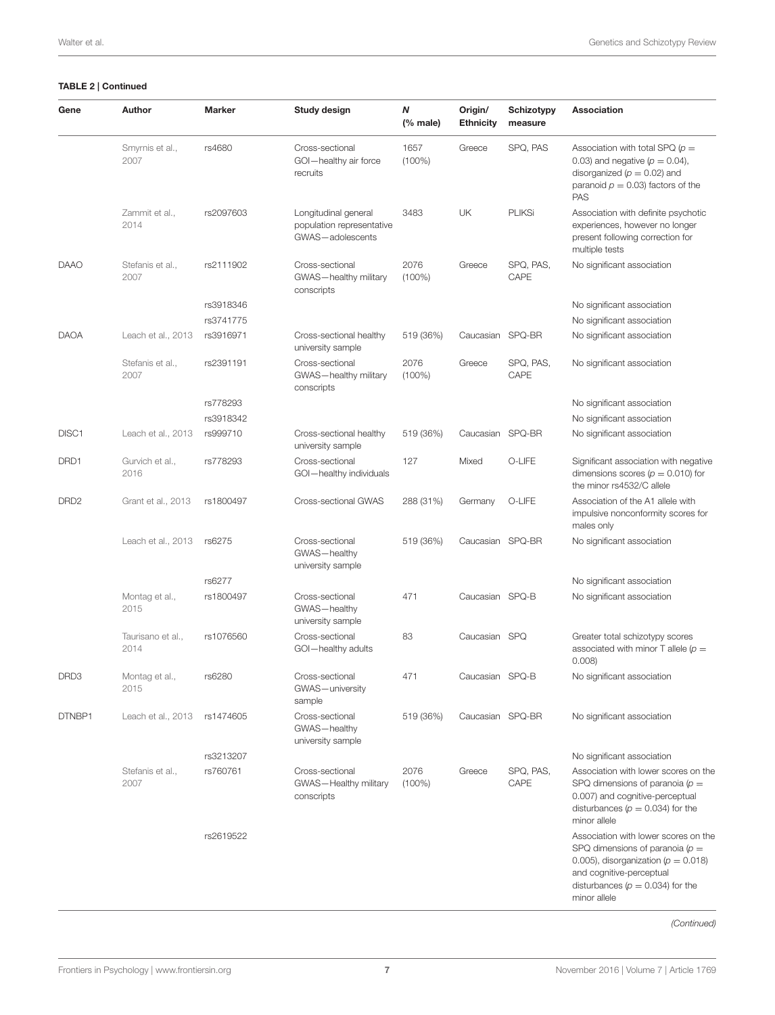| Gene              | Author                    | <b>Marker</b> | Study design                                                          | Ν<br>$%$ male)    | Origin/<br><b>Ethnicity</b> | Schizotypy<br>measure | Association                                                                                                                                                                                               |
|-------------------|---------------------------|---------------|-----------------------------------------------------------------------|-------------------|-----------------------------|-----------------------|-----------------------------------------------------------------------------------------------------------------------------------------------------------------------------------------------------------|
|                   | Smyrnis et al.,<br>2007   | rs4680        | Cross-sectional<br>GOI-healthy air force<br>recruits                  | 1657<br>$(100\%)$ | Greece                      | SPQ, PAS              | Association with total SPQ ( $p =$<br>0.03) and negative ( $p = 0.04$ ),<br>disorganized ( $p = 0.02$ ) and<br>paranoid $p = 0.03$ factors of the<br><b>PAS</b>                                           |
|                   | Zammit et al.,<br>2014    | rs2097603     | Longitudinal general<br>population representative<br>GWAS-adolescents | 3483              | UK                          | <b>PLIKSi</b>         | Association with definite psychotic<br>experiences, however no longer<br>present following correction for<br>multiple tests                                                                               |
| <b>DAAO</b>       | Stefanis et al.,<br>2007  | rs2111902     | Cross-sectional<br>GWAS-healthy military<br>conscripts                | 2076<br>$(100\%)$ | Greece                      | SPQ, PAS,<br>CAPE     | No significant association                                                                                                                                                                                |
|                   |                           | rs3918346     |                                                                       |                   |                             |                       | No significant association                                                                                                                                                                                |
|                   |                           | rs3741775     |                                                                       |                   |                             |                       | No significant association                                                                                                                                                                                |
| <b>DAOA</b>       | Leach et al., 2013        | rs3916971     | Cross-sectional healthy<br>university sample                          | 519 (36%)         | Caucasian SPQ-BR            |                       | No significant association                                                                                                                                                                                |
|                   | Stefanis et al.,<br>2007  | rs2391191     | Cross-sectional<br>GWAS-healthy military<br>conscripts                | 2076<br>$(100\%)$ | Greece                      | SPQ, PAS,<br>CAPE     | No significant association                                                                                                                                                                                |
|                   |                           | rs778293      |                                                                       |                   |                             |                       | No significant association                                                                                                                                                                                |
|                   |                           | rs3918342     |                                                                       |                   |                             |                       | No significant association                                                                                                                                                                                |
| DISC <sub>1</sub> | Leach et al., 2013        | rs999710      | Cross-sectional healthy<br>university sample                          | 519 (36%)         | Caucasian SPQ-BR            |                       | No significant association                                                                                                                                                                                |
| DRD1              | Gurvich et al.,<br>2016   | rs778293      | Cross-sectional<br>GOI-healthy individuals                            | 127               | Mixed                       | O-LIFE                | Significant association with negative<br>dimensions scores ( $p = 0.010$ ) for<br>the minor rs4532/C allele                                                                                               |
| DRD <sub>2</sub>  | Grant et al., 2013        | rs1800497     | Cross-sectional GWAS                                                  | 288 (31%)         | Germany                     | O-LIFE                | Association of the A1 allele with<br>impulsive nonconformity scores for<br>males only                                                                                                                     |
|                   | Leach et al., 2013        | rs6275        | Cross-sectional<br>GWAS-healthy<br>university sample                  | 519 (36%)         | Caucasian SPQ-BR            |                       | No significant association                                                                                                                                                                                |
|                   |                           | rs6277        |                                                                       |                   |                             |                       | No significant association                                                                                                                                                                                |
|                   | Montag et al.,<br>2015    | rs1800497     | Cross-sectional<br>GWAS-healthy<br>university sample                  | 471               | Caucasian SPQ-B             |                       | No significant association                                                                                                                                                                                |
|                   | Taurisano et al.,<br>2014 | rs1076560     | Cross-sectional<br>GOI-healthy adults                                 | 83                | Caucasian SPQ               |                       | Greater total schizotypy scores<br>associated with minor T allele ( $p =$<br>0.008                                                                                                                        |
| DRD3              | Montag et al.,<br>2015    | rs6280        | Cross-sectional<br>GWAS-university<br>sample                          | 471               | Caucasian SPQ-B             |                       | No significant association                                                                                                                                                                                |
| DTNBP1            | Leach et al., 2013        | rs1474605     | Cross-sectional<br>GWAS-healthy<br>university sample                  | 519 (36%)         | Caucasian SPQ-BR            |                       | No significant association                                                                                                                                                                                |
|                   |                           | rs3213207     |                                                                       |                   |                             |                       | No significant association                                                                                                                                                                                |
|                   | Stefanis et al.,<br>2007  | rs760761      | Cross-sectional<br>GWAS-Healthy military<br>conscripts                | 2076<br>$(100\%)$ | Greece                      | SPQ, PAS,<br>CAPE     | Association with lower scores on the<br>SPQ dimensions of paranoia ( $p =$<br>0.007) and cognitive-perceptual<br>disturbances ( $p = 0.034$ ) for the<br>minor allele                                     |
|                   |                           | rs2619522     |                                                                       |                   |                             |                       | Association with lower scores on the<br>SPQ dimensions of paranoia ( $p =$<br>0.005), disorganization ( $p = 0.018$ )<br>and cognitive-perceptual<br>disturbances ( $p = 0.034$ ) for the<br>minor allele |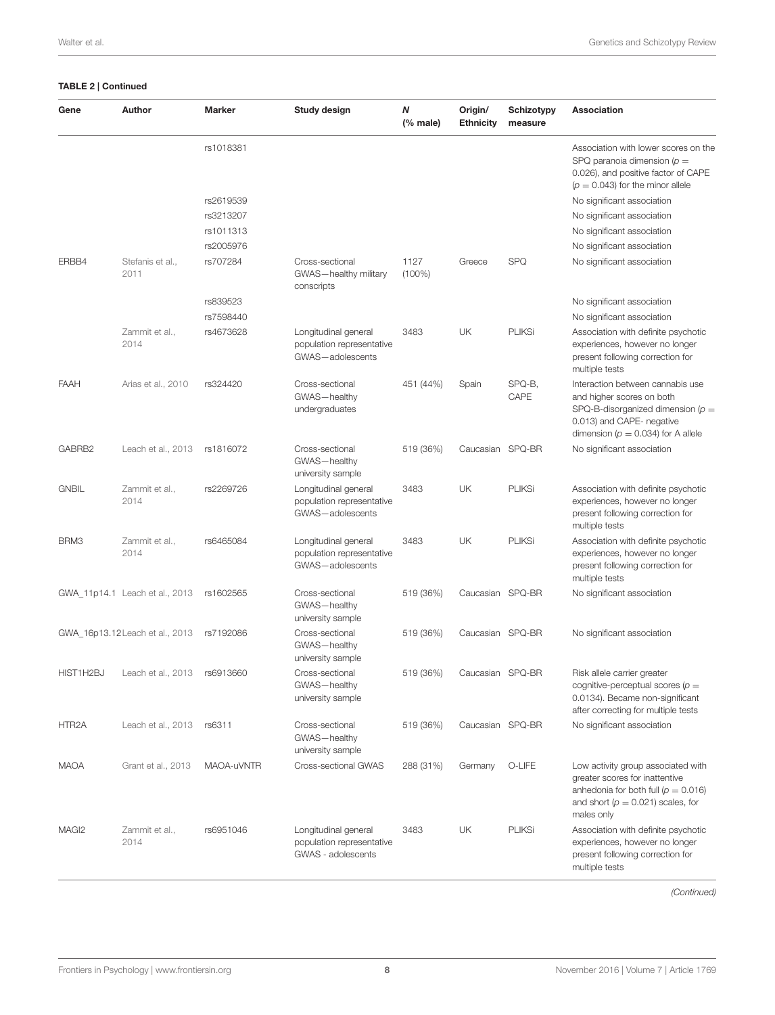| Gene               | Author                          | <b>Marker</b> | Study design                                                            | N<br>$(%$ (% male) | Origin/<br><b>Ethnicity</b> | Schizotypy<br>measure | Association                                                                                                                                                                 |
|--------------------|---------------------------------|---------------|-------------------------------------------------------------------------|--------------------|-----------------------------|-----------------------|-----------------------------------------------------------------------------------------------------------------------------------------------------------------------------|
|                    |                                 | rs1018381     |                                                                         |                    |                             |                       | Association with lower scores on the<br>SPQ paranoia dimension ( $p =$<br>0.026), and positive factor of CAPE<br>$(p = 0.043)$ for the minor allele                         |
|                    |                                 | rs2619539     |                                                                         |                    |                             |                       | No significant association                                                                                                                                                  |
|                    |                                 | rs3213207     |                                                                         |                    |                             |                       | No significant association                                                                                                                                                  |
|                    |                                 | rs1011313     |                                                                         |                    |                             |                       | No significant association                                                                                                                                                  |
|                    |                                 | rs2005976     |                                                                         |                    |                             |                       | No significant association                                                                                                                                                  |
| ERBB4              | Stefanis et al.,<br>2011        | rs707284      | Cross-sectional<br>GWAS-healthy military<br>conscripts                  | 1127<br>$(100\%)$  | Greece                      | <b>SPQ</b>            | No significant association                                                                                                                                                  |
|                    |                                 | rs839523      |                                                                         |                    |                             |                       | No significant association                                                                                                                                                  |
|                    |                                 | rs7598440     |                                                                         |                    |                             |                       | No significant association                                                                                                                                                  |
|                    | Zammit et al.,<br>2014          | rs4673628     | Longitudinal general<br>population representative<br>GWAS-adolescents   | 3483               | UK                          | <b>PLIKSi</b>         | Association with definite psychotic<br>experiences, however no longer<br>present following correction for<br>multiple tests                                                 |
| <b>FAAH</b>        | Arias et al., 2010              | rs324420      | Cross-sectional<br>GWAS-healthy<br>undergraduates                       | 451 (44%)          | Spain                       | SPQ-B,<br>CAPE        | Interaction between cannabis use<br>and higher scores on both<br>SPQ-B-disorganized dimension $(p =$<br>0.013) and CAPE- negative<br>dimension ( $p = 0.034$ ) for A allele |
| GABRB2             | Leach et al., 2013              | rs1816072     | Cross-sectional<br>GWAS-healthy<br>university sample                    | 519 (36%)          | Caucasian SPQ-BR            |                       | No significant association                                                                                                                                                  |
| <b>GNBIL</b>       | Zammit et al.,<br>2014          | rs2269726     | Longitudinal general<br>population representative<br>GWAS-adolescents   | 3483               | UK                          | <b>PLIKSi</b>         | Association with definite psychotic<br>experiences, however no longer<br>present following correction for<br>multiple tests                                                 |
| BRM3               | Zammit et al.,<br>2014          | rs6465084     | Longitudinal general<br>population representative<br>GWAS-adolescents   | 3483               | UK                          | <b>PLIKSi</b>         | Association with definite psychotic<br>experiences, however no longer<br>present following correction for<br>multiple tests                                                 |
|                    | GWA_11p14.1 Leach et al., 2013  | rs1602565     | Cross-sectional<br>GWAS-healthy<br>university sample                    | 519 (36%)          | Caucasian SPQ-BR            |                       | No significant association                                                                                                                                                  |
|                    | GWA_16p13.12 Leach et al., 2013 | rs7192086     | Cross-sectional<br>GWAS-healthy<br>university sample                    | 519 (36%)          | Caucasian SPQ-BR            |                       | No significant association                                                                                                                                                  |
| HIST1H2BJ          | Leach et al., 2013              | rs6913660     | Cross-sectional<br>GWAS-healthy<br>university sample                    | 519 (36%)          | Caucasian SPQ-BR            |                       | Risk allele carrier greater<br>cognitive-perceptual scores $(p =$<br>0.0134). Became non-significant<br>after correcting for multiple tests                                 |
| HTR <sub>2</sub> A | Leach et al., 2013              | rs6311        | Cross-sectional<br>GWAS-healthy<br>university sample                    | 519 (36%)          | Caucasian SPQ-BR            |                       | No significant association                                                                                                                                                  |
| <b>MAOA</b>        | Grant et al., 2013              | MAOA-uVNTR    | Cross-sectional GWAS                                                    | 288 (31%)          | Germany                     | O-LIFE                | Low activity group associated with<br>greater scores for inattentive<br>anhedonia for both full ( $p = 0.016$ )<br>and short ( $p = 0.021$ ) scales, for<br>males only      |
| MAGI <sub>2</sub>  | Zammit et al.,<br>2014          | rs6951046     | Longitudinal general<br>population representative<br>GWAS - adolescents | 3483               | UK                          | <b>PLIKSi</b>         | Association with definite psychotic<br>experiences, however no longer<br>present following correction for<br>multiple tests                                                 |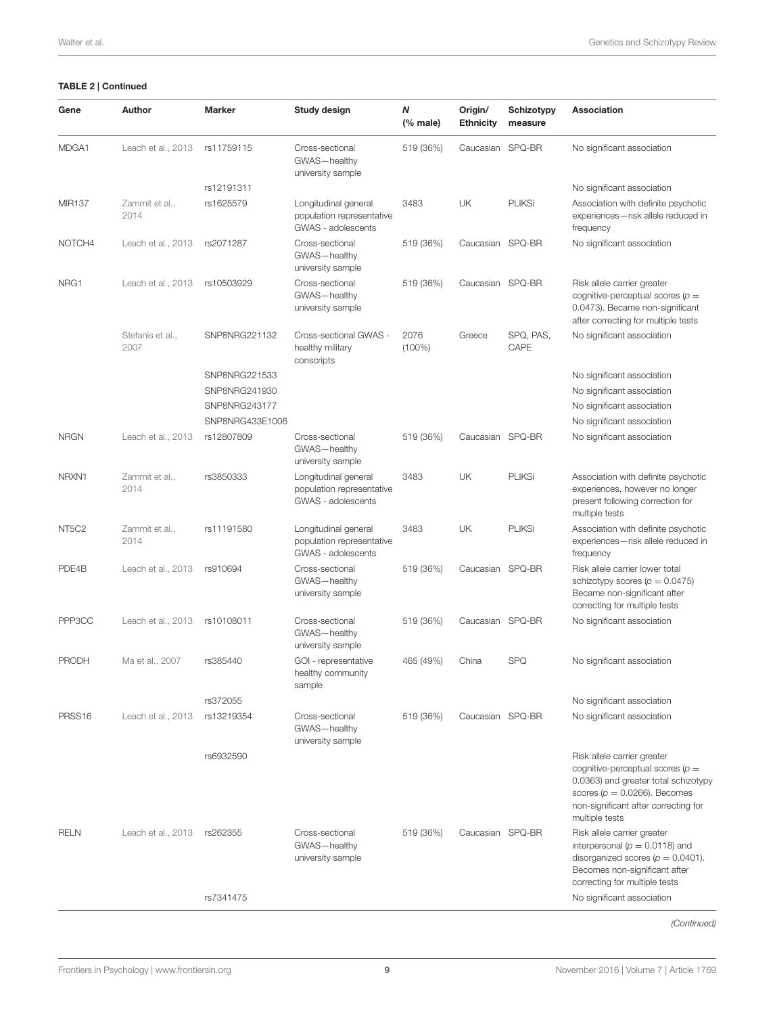| Gene                           | Author                   | <b>Marker</b>   | Study design                                                            | N<br>$(%$ (% male) | Origin/<br><b>Ethnicity</b> | <b>Schizotypy</b><br>measure | Association                                                                                                                                                                                              |
|--------------------------------|--------------------------|-----------------|-------------------------------------------------------------------------|--------------------|-----------------------------|------------------------------|----------------------------------------------------------------------------------------------------------------------------------------------------------------------------------------------------------|
| MDGA1                          | Leach et al., 2013       | rs11759115      | Cross-sectional<br>GWAS-healthy<br>university sample                    | 519 (36%)          | Caucasian SPQ-BR            |                              | No significant association                                                                                                                                                                               |
|                                |                          | rs12191311      |                                                                         |                    |                             |                              | No significant association                                                                                                                                                                               |
| <b>MIR137</b>                  | Zammit et al.,<br>2014   | rs1625579       | Longitudinal general<br>population representative<br>GWAS - adolescents | 3483               | UK                          | <b>PLIKSi</b>                | Association with definite psychotic<br>experiences-risk allele reduced in<br>frequency                                                                                                                   |
| NOTCH4                         | Leach et al., 2013       | rs2071287       | Cross-sectional<br>GWAS-healthy<br>university sample                    | 519 (36%)          | Caucasian SPQ-BR            |                              | No significant association                                                                                                                                                                               |
| NRG1                           | Leach et al., 2013       | rs10503929      | Cross-sectional<br>GWAS-healthy<br>university sample                    | 519 (36%)          | Caucasian SPQ-BR            |                              | Risk allele carrier greater<br>cognitive-perceptual scores $(p =$<br>0.0473). Became non-significant<br>after correcting for multiple tests                                                              |
|                                | Stefanis et al.,<br>2007 | SNP8NRG221132   | Cross-sectional GWAS -<br>healthy military<br>conscripts                | 2076<br>$(100\%)$  | Greece                      | SPQ, PAS,<br>CAPE            | No significant association                                                                                                                                                                               |
|                                |                          | SNP8NRG221533   |                                                                         |                    |                             |                              | No significant association                                                                                                                                                                               |
|                                |                          | SNP8NRG241930   |                                                                         |                    |                             |                              | No significant association                                                                                                                                                                               |
|                                |                          | SNP8NRG243177   |                                                                         |                    |                             |                              | No significant association                                                                                                                                                                               |
|                                |                          | SNP8NRG433E1006 |                                                                         |                    |                             |                              | No significant association                                                                                                                                                                               |
| <b>NRGN</b>                    | Leach et al., 2013       | rs12807809      | Cross-sectional<br>GWAS-healthy<br>university sample                    | 519 (36%)          | Caucasian SPQ-BR            |                              | No significant association                                                                                                                                                                               |
| NRXN1                          | Zammit et al.,<br>2014   | rs3850333       | Longitudinal general<br>population representative<br>GWAS - adolescents | 3483               | UK                          | <b>PLIKSi</b>                | Association with definite psychotic<br>experiences, however no longer<br>present following correction for<br>multiple tests                                                                              |
| NT <sub>5</sub> C <sub>2</sub> | Zammit et al.,<br>2014   | rs11191580      | Longitudinal general<br>population representative<br>GWAS - adolescents | 3483               | UK                          | <b>PLIKSi</b>                | Association with definite psychotic<br>experiences-risk allele reduced in<br>frequency                                                                                                                   |
| PDE4B                          | Leach et al., 2013       | rs910694        | Cross-sectional<br>GWAS-healthy<br>university sample                    | 519 (36%)          | Caucasian SPQ-BR            |                              | Risk allele carrier lower total<br>schizotypy scores ( $p = 0.0475$ )<br>Became non-significant after<br>correcting for multiple tests                                                                   |
| PPP3CC                         | Leach et al., 2013       | rs10108011      | Cross-sectional<br>GWAS-healthy<br>university sample                    | 519 (36%)          | Caucasian SPQ-BR            |                              | No significant association                                                                                                                                                                               |
| <b>PRODH</b>                   | Ma et al., 2007          | rs385440        | GOI - representative<br>healthy community<br>sample                     | 465 (49%)          | China                       | <b>SPQ</b>                   | No significant association                                                                                                                                                                               |
|                                |                          | rs372055        |                                                                         |                    |                             |                              | No significant association                                                                                                                                                                               |
| PRSS16                         | Leach et al., 2013       | rs13219354      | Cross-sectional<br>GWAS-healthy<br>university sample                    | 519 (36%)          | Caucasian SPQ-BR            |                              | No significant association                                                                                                                                                                               |
|                                |                          | rs6932590       |                                                                         |                    |                             |                              | Risk allele carrier greater<br>cognitive-perceptual scores ( $p =$<br>0.0363) and greater total schizotypy<br>scores ( $p = 0.0266$ ). Becomes<br>non-significant after correcting for<br>multiple tests |
| <b>RELN</b>                    | Leach et al., 2013       | rs262355        | Cross-sectional<br>GWAS-healthy<br>university sample                    | 519 (36%)          | Caucasian SPQ-BR            |                              | Risk allele carrier greater<br>interpersonal ( $p = 0.0118$ ) and<br>disorganized scores ( $p = 0.0401$ ).<br>Becomes non-significant after<br>correcting for multiple tests                             |
|                                |                          | rs7341475       |                                                                         |                    |                             |                              | No significant association                                                                                                                                                                               |
|                                |                          |                 |                                                                         |                    |                             |                              |                                                                                                                                                                                                          |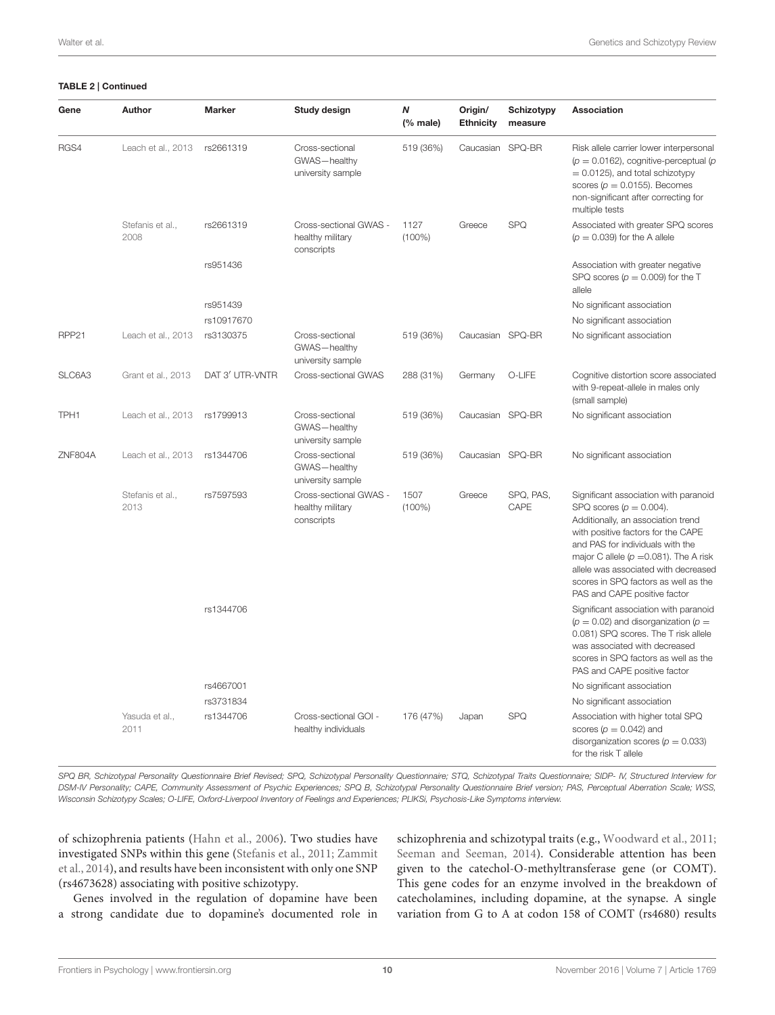| Gene              | Author                   | <b>Marker</b>   | Study design                                             | Ν<br>$(%$ (% male) | Origin/<br><b>Ethnicity</b> | Schizotypy<br>measure | Association                                                                                                                                                                                                                                                                                                                                       |
|-------------------|--------------------------|-----------------|----------------------------------------------------------|--------------------|-----------------------------|-----------------------|---------------------------------------------------------------------------------------------------------------------------------------------------------------------------------------------------------------------------------------------------------------------------------------------------------------------------------------------------|
| RGS4              | Leach et al., 2013       | rs2661319       | Cross-sectional<br>GWAS-healthy<br>university sample     | 519 (36%)          | Caucasian SPQ-BR            |                       | Risk allele carrier lower interpersonal<br>( $p = 0.0162$ ), cognitive-perceptual (p<br>$= 0.0125$ , and total schizotypy<br>scores ( $p = 0.0155$ ). Becomes<br>non-significant after correcting for<br>multiple tests                                                                                                                           |
|                   | Stefanis et al.,<br>2008 | rs2661319       | Cross-sectional GWAS -<br>healthy military<br>conscripts | 1127<br>$(100\%)$  | Greece                      | <b>SPQ</b>            | Associated with greater SPQ scores<br>$(p = 0.039)$ for the A allele                                                                                                                                                                                                                                                                              |
|                   |                          | rs951436        |                                                          |                    |                             |                       | Association with greater negative<br>SPQ scores ( $p = 0.009$ ) for the T<br>allele                                                                                                                                                                                                                                                               |
|                   |                          | rs951439        |                                                          |                    |                             |                       | No significant association                                                                                                                                                                                                                                                                                                                        |
|                   |                          | rs10917670      |                                                          |                    |                             |                       | No significant association                                                                                                                                                                                                                                                                                                                        |
| RPP <sub>21</sub> | Leach et al., 2013       | rs3130375       | Cross-sectional<br>GWAS-healthy<br>university sample     | 519 (36%)          | Caucasian SPQ-BR            |                       | No significant association                                                                                                                                                                                                                                                                                                                        |
| SLC6A3            | Grant et al., 2013       | DAT 3' UTR-VNTR | Cross-sectional GWAS                                     | 288 (31%)          | Germany                     | O-LIFE                | Cognitive distortion score associated<br>with 9-repeat-allele in males only<br>(small sample)                                                                                                                                                                                                                                                     |
| TPH1              | Leach et al., 2013       | rs1799913       | Cross-sectional<br>GWAS-healthy<br>university sample     | 519 (36%)          | Caucasian SPQ-BR            |                       | No significant association                                                                                                                                                                                                                                                                                                                        |
| ZNF804A           | Leach et al., 2013       | rs1344706       | Cross-sectional<br>GWAS-healthy<br>university sample     | 519 (36%)          | Caucasian                   | SPQ-BR                | No significant association                                                                                                                                                                                                                                                                                                                        |
|                   | Stefanis et al.,<br>2013 | rs7597593       | Cross-sectional GWAS -<br>healthy military<br>conscripts | 1507<br>$(100\%)$  | Greece                      | SPQ, PAS,<br>CAPE     | Significant association with paranoid<br>SPQ scores $(p = 0.004)$ .<br>Additionally, an association trend<br>with positive factors for the CAPE<br>and PAS for individuals with the<br>major C allele ( $p = 0.081$ ). The A risk<br>allele was associated with decreased<br>scores in SPQ factors as well as the<br>PAS and CAPE positive factor |
|                   |                          | rs1344706       |                                                          |                    |                             |                       | Significant association with paranoid<br>( $p = 0.02$ ) and disorganization ( $p =$<br>0.081) SPQ scores. The T risk allele<br>was associated with decreased<br>scores in SPQ factors as well as the<br>PAS and CAPE positive factor                                                                                                              |
|                   |                          | rs4667001       |                                                          |                    |                             |                       | No significant association                                                                                                                                                                                                                                                                                                                        |
|                   |                          | rs3731834       |                                                          |                    |                             |                       | No significant association                                                                                                                                                                                                                                                                                                                        |
|                   | Yasuda et al.,<br>2011   | rs1344706       | Cross-sectional GOI -<br>healthy individuals             | 176 (47%)          | Japan                       | <b>SPQ</b>            | Association with higher total SPQ<br>scores ( $p = 0.042$ ) and<br>disorganization scores ( $p = 0.033$ )<br>for the risk T allele                                                                                                                                                                                                                |

*SPQ BR, Schizotypal Personality Questionnaire Brief Revised; SPQ, Schizotypal Personality Questionnaire; STQ, Schizotypal Traits Questionnaire; SIDP- IV, Structured Interview for DSM-IV Personality; CAPE, Community Assessment of Psychic Experiences; SPQ B, Schizotypal Personality Questionnaire Brief version; PAS, Perceptual Aberration Scale; WSS, Wisconsin Schizotypy Scales; O-LIFE, Oxford-Liverpool Inventory of Feelings and Experiences; PLIKSi, Psychosis-Like Symptoms interview.*

of schizophrenia patients [\(Hahn et al., 2006\)](#page-15-14). Two studies have investigated SNPs within this gene [\(Stefanis et al., 2011;](#page-17-19) Zammit et al., [2014\)](#page-18-6), and results have been inconsistent with only one SNP (rs4673628) associating with positive schizotypy.

Genes involved in the regulation of dopamine have been a strong candidate due to dopamine's documented role in

schizophrenia and schizotypal traits (e.g., [Woodward et al., 2011;](#page-18-8) [Seeman and Seeman, 2014\)](#page-17-21). Considerable attention has been given to the catechol-O-methyltransferase gene (or COMT). This gene codes for an enzyme involved in the breakdown of catecholamines, including dopamine, at the synapse. A single variation from G to A at codon 158 of COMT (rs4680) results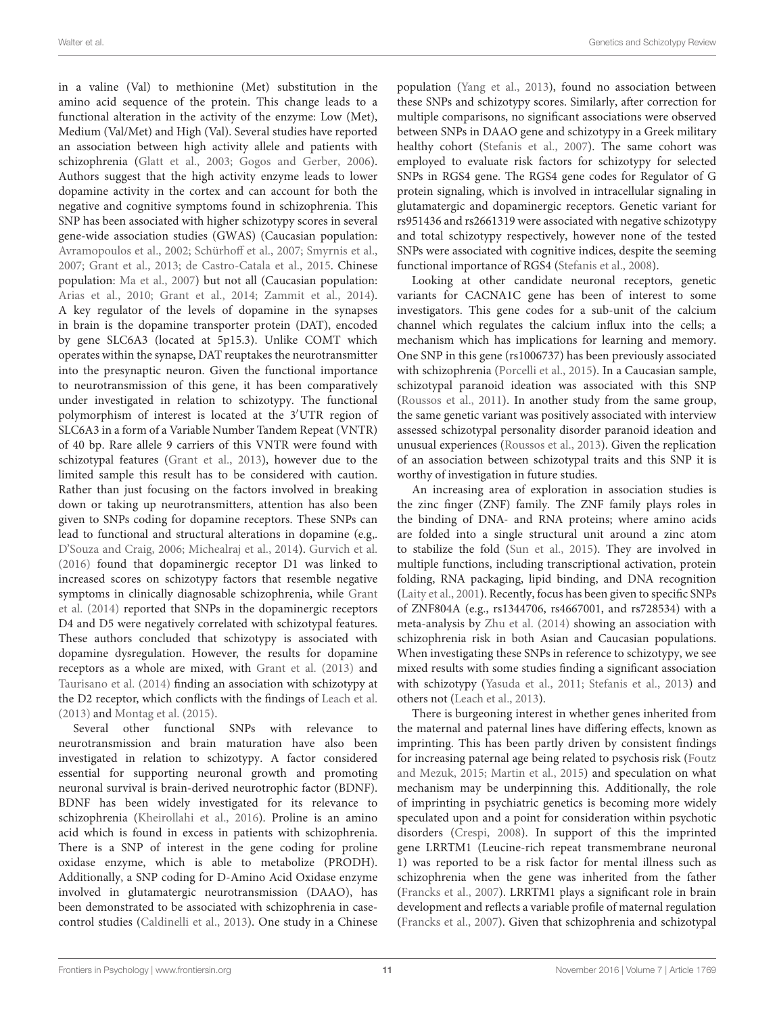in a valine (Val) to methionine (Met) substitution in the amino acid sequence of the protein. This change leads to a functional alteration in the activity of the enzyme: Low (Met), Medium (Val/Met) and High (Val). Several studies have reported an association between high activity allele and patients with schizophrenia [\(Glatt et al., 2003;](#page-15-15) [Gogos and Gerber, 2006\)](#page-15-16). Authors suggest that the high activity enzyme leads to lower dopamine activity in the cortex and can account for both the negative and cognitive symptoms found in schizophrenia. This SNP has been associated with higher schizotypy scores in several gene-wide association studies (GWAS) (Caucasian population: [Avramopoulos et al., 2002;](#page-14-12) [Schürhoff et al., 2007;](#page-17-15) [Smyrnis et al.,](#page-17-16) [2007;](#page-17-16) [Grant et al., 2013;](#page-15-2) [de Castro-Catala et al., 2015.](#page-15-12) Chinese population: [Ma et al., 2007\)](#page-16-23) but not all (Caucasian population: [Arias et al., 2010;](#page-14-11) [Grant et al., 2014;](#page-15-17) [Zammit et al., 2014\)](#page-18-6). A key regulator of the levels of dopamine in the synapses in brain is the dopamine transporter protein (DAT), encoded by gene SLC6A3 (located at 5p15.3). Unlike COMT which operates within the synapse, DAT reuptakes the neurotransmitter into the presynaptic neuron. Given the functional importance to neurotransmission of this gene, it has been comparatively under investigated in relation to schizotypy. The functional polymorphism of interest is located at the 3′UTR region of SLC6A3 in a form of a Variable Number Tandem Repeat (VNTR) of 40 bp. Rare allele 9 carriers of this VNTR were found with schizotypal features [\(Grant et al., 2013\)](#page-15-2), however due to the limited sample this result has to be considered with caution. Rather than just focusing on the factors involved in breaking down or taking up neurotransmitters, attention has also been given to SNPs coding for dopamine receptors. These SNPs can lead to functional and structural alterations in dopamine (e.g,. [D'Souza and Craig, 2006;](#page-15-18) [Michealraj et al., 2014\)](#page-16-25). [Gurvich et al.](#page-15-13) [\(2016\)](#page-15-13) found that dopaminergic receptor D1 was linked to increased scores on schizotypy factors that resemble negative symptoms in clinically diagnosable schizophrenia, while Grant et al. [\(2014\)](#page-15-17) reported that SNPs in the dopaminergic receptors D4 and D5 were negatively correlated with schizotypal features. These authors concluded that schizotypy is associated with dopamine dysregulation. However, the results for dopamine receptors as a whole are mixed, with [Grant et al. \(2013\)](#page-15-2) and [Taurisano et al. \(2014\)](#page-17-18) finding an association with schizotypy at the D2 receptor, which conflicts with the findings of [Leach et al.](#page-16-22) [\(2013\)](#page-16-22) and [Montag et al. \(2015\)](#page-16-24).

Several other functional SNPs with relevance to neurotransmission and brain maturation have also been investigated in relation to schizotypy. A factor considered essential for supporting neuronal growth and promoting neuronal survival is brain-derived neurotrophic factor (BDNF). BDNF has been widely investigated for its relevance to schizophrenia [\(Kheirollahi et al., 2016\)](#page-16-26). Proline is an amino acid which is found in excess in patients with schizophrenia. There is a SNP of interest in the gene coding for proline oxidase enzyme, which is able to metabolize (PRODH). Additionally, a SNP coding for D-Amino Acid Oxidase enzyme involved in glutamatergic neurotransmission (DAAO), has been demonstrated to be associated with schizophrenia in casecontrol studies [\(Caldinelli et al., 2013\)](#page-14-13). One study in a Chinese population [\(Yang et al., 2013\)](#page-18-9), found no association between these SNPs and schizotypy scores. Similarly, after correction for multiple comparisons, no significant associations were observed between SNPs in DAAO gene and schizotypy in a Greek military healthy cohort [\(Stefanis et al., 2007\)](#page-17-17). The same cohort was employed to evaluate risk factors for schizotypy for selected SNPs in RGS4 gene. The RGS4 gene codes for Regulator of G protein signaling, which is involved in intracellular signaling in glutamatergic and dopaminergic receptors. Genetic variant for rs951436 and rs2661319 were associated with negative schizotypy and total schizotypy respectively, however none of the tested SNPs were associated with cognitive indices, despite the seeming functional importance of RGS4 [\(Stefanis et al., 2008\)](#page-17-13).

Looking at other candidate neuronal receptors, genetic variants for CACNA1C gene has been of interest to some investigators. This gene codes for a sub-unit of the calcium channel which regulates the calcium influx into the cells; a mechanism which has implications for learning and memory. One SNP in this gene (rs1006737) has been previously associated with schizophrenia [\(Porcelli et al., 2015\)](#page-17-22). In a Caucasian sample, schizotypal paranoid ideation was associated with this SNP [\(Roussos et al., 2011\)](#page-17-23). In another study from the same group, the same genetic variant was positively associated with interview assessed schizotypal personality disorder paranoid ideation and unusual experiences [\(Roussos et al., 2013\)](#page-17-14). Given the replication of an association between schizotypal traits and this SNP it is worthy of investigation in future studies.

An increasing area of exploration in association studies is the zinc finger (ZNF) family. The ZNF family plays roles in the binding of DNA- and RNA proteins; where amino acids are folded into a single structural unit around a zinc atom to stabilize the fold [\(Sun et al., 2015\)](#page-17-24). They are involved in multiple functions, including transcriptional activation, protein folding, RNA packaging, lipid binding, and DNA recognition [\(Laity et al., 2001\)](#page-16-27). Recently, focus has been given to specific SNPs of ZNF804A (e.g., rs1344706, rs4667001, and rs728534) with a meta-analysis by [Zhu et al. \(2014\)](#page-18-10) showing an association with schizophrenia risk in both Asian and Caucasian populations. When investigating these SNPs in reference to schizotypy, we see mixed results with some studies finding a significant association with schizotypy [\(Yasuda et al., 2011;](#page-18-7) [Stefanis et al., 2013\)](#page-17-20) and others not [\(Leach et al., 2013\)](#page-16-22).

There is burgeoning interest in whether genes inherited from the maternal and paternal lines have differing effects, known as imprinting. This has been partly driven by consistent findings for increasing paternal age being related to psychosis risk (Foutz and Mezuk, [2015;](#page-15-19) [Martin et al., 2015\)](#page-16-28) and speculation on what mechanism may be underpinning this. Additionally, the role of imprinting in psychiatric genetics is becoming more widely speculated upon and a point for consideration within psychotic disorders [\(Crespi, 2008\)](#page-15-20). In support of this the imprinted gene LRRTM1 (Leucine-rich repeat transmembrane neuronal 1) was reported to be a risk factor for mental illness such as schizophrenia when the gene was inherited from the father [\(Francks et al., 2007\)](#page-15-21). LRRTM1 plays a significant role in brain development and reflects a variable profile of maternal regulation [\(Francks et al., 2007\)](#page-15-21). Given that schizophrenia and schizotypal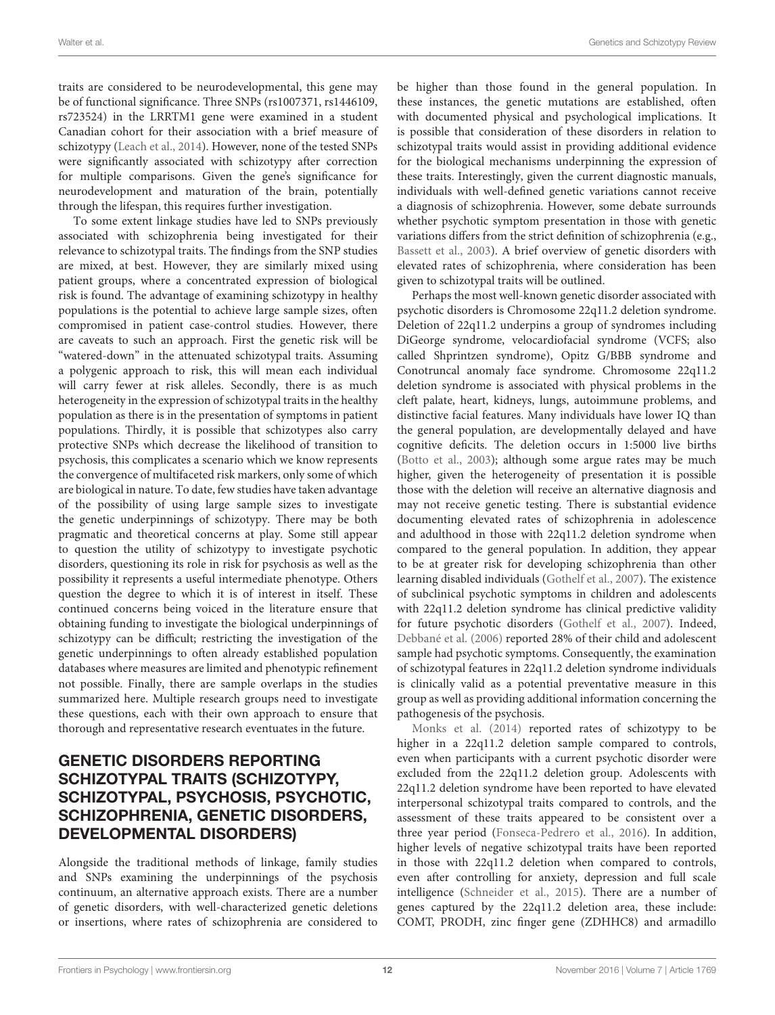traits are considered to be neurodevelopmental, this gene may be of functional significance. Three SNPs (rs1007371, rs1446109, rs723524) in the LRRTM1 gene were examined in a student Canadian cohort for their association with a brief measure of schizotypy [\(Leach et al., 2014\)](#page-16-29). However, none of the tested SNPs were significantly associated with schizotypy after correction for multiple comparisons. Given the gene's significance for neurodevelopment and maturation of the brain, potentially through the lifespan, this requires further investigation.

To some extent linkage studies have led to SNPs previously associated with schizophrenia being investigated for their relevance to schizotypal traits. The findings from the SNP studies are mixed, at best. However, they are similarly mixed using patient groups, where a concentrated expression of biological risk is found. The advantage of examining schizotypy in healthy populations is the potential to achieve large sample sizes, often compromised in patient case-control studies. However, there are caveats to such an approach. First the genetic risk will be "watered-down" in the attenuated schizotypal traits. Assuming a polygenic approach to risk, this will mean each individual will carry fewer at risk alleles. Secondly, there is as much heterogeneity in the expression of schizotypal traits in the healthy population as there is in the presentation of symptoms in patient populations. Thirdly, it is possible that schizotypes also carry protective SNPs which decrease the likelihood of transition to psychosis, this complicates a scenario which we know represents the convergence of multifaceted risk markers, only some of which are biological in nature. To date, few studies have taken advantage of the possibility of using large sample sizes to investigate the genetic underpinnings of schizotypy. There may be both pragmatic and theoretical concerns at play. Some still appear to question the utility of schizotypy to investigate psychotic disorders, questioning its role in risk for psychosis as well as the possibility it represents a useful intermediate phenotype. Others question the degree to which it is of interest in itself. These continued concerns being voiced in the literature ensure that obtaining funding to investigate the biological underpinnings of schizotypy can be difficult; restricting the investigation of the genetic underpinnings to often already established population databases where measures are limited and phenotypic refinement not possible. Finally, there are sample overlaps in the studies summarized here. Multiple research groups need to investigate these questions, each with their own approach to ensure that thorough and representative research eventuates in the future.

## GENETIC DISORDERS REPORTING SCHIZOTYPAL TRAITS (SCHIZOTYPY, SCHIZOTYPAL, PSYCHOSIS, PSYCHOTIC, SCHIZOPHRENIA, GENETIC DISORDERS, DEVELOPMENTAL DISORDERS)

Alongside the traditional methods of linkage, family studies and SNPs examining the underpinnings of the psychosis continuum, an alternative approach exists. There are a number of genetic disorders, with well-characterized genetic deletions or insertions, where rates of schizophrenia are considered to be higher than those found in the general population. In these instances, the genetic mutations are established, often with documented physical and psychological implications. It is possible that consideration of these disorders in relation to schizotypal traits would assist in providing additional evidence for the biological mechanisms underpinning the expression of these traits. Interestingly, given the current diagnostic manuals, individuals with well-defined genetic variations cannot receive a diagnosis of schizophrenia. However, some debate surrounds whether psychotic symptom presentation in those with genetic variations differs from the strict definition of schizophrenia (e.g., [Bassett et al., 2003\)](#page-14-14). A brief overview of genetic disorders with elevated rates of schizophrenia, where consideration has been given to schizotypal traits will be outlined.

Perhaps the most well-known genetic disorder associated with psychotic disorders is Chromosome 22q11.2 deletion syndrome. Deletion of 22q11.2 underpins a group of syndromes including DiGeorge syndrome, velocardiofacial syndrome (VCFS; also called Shprintzen syndrome), Opitz G/BBB syndrome and Conotruncal anomaly face syndrome. Chromosome 22q11.2 deletion syndrome is associated with physical problems in the cleft palate, heart, kidneys, lungs, autoimmune problems, and distinctive facial features. Many individuals have lower IQ than the general population, are developmentally delayed and have cognitive deficits. The deletion occurs in 1:5000 live births [\(Botto et al., 2003\)](#page-14-15); although some argue rates may be much higher, given the heterogeneity of presentation it is possible those with the deletion will receive an alternative diagnosis and may not receive genetic testing. There is substantial evidence documenting elevated rates of schizophrenia in adolescence and adulthood in those with 22q11.2 deletion syndrome when compared to the general population. In addition, they appear to be at greater risk for developing schizophrenia than other learning disabled individuals [\(Gothelf et al., 2007\)](#page-15-22). The existence of subclinical psychotic symptoms in children and adolescents with 22q11.2 deletion syndrome has clinical predictive validity for future psychotic disorders [\(Gothelf et al., 2007\)](#page-15-22). Indeed, [Debbané et al. \(2006\)](#page-15-23) reported 28% of their child and adolescent sample had psychotic symptoms. Consequently, the examination of schizotypal features in 22q11.2 deletion syndrome individuals is clinically valid as a potential preventative measure in this group as well as providing additional information concerning the pathogenesis of the psychosis.

[Monks et al. \(2014\)](#page-16-30) reported rates of schizotypy to be higher in a 22q11.2 deletion sample compared to controls, even when participants with a current psychotic disorder were excluded from the 22q11.2 deletion group. Adolescents with 22q11.2 deletion syndrome have been reported to have elevated interpersonal schizotypal traits compared to controls, and the assessment of these traits appeared to be consistent over a three year period [\(Fonseca-Pedrero et al., 2016\)](#page-15-24). In addition, higher levels of negative schizotypal traits have been reported in those with 22q11.2 deletion when compared to controls, even after controlling for anxiety, depression and full scale intelligence [\(Schneider et al., 2015\)](#page-17-25). There are a number of genes captured by the 22q11.2 deletion area, these include: COMT, PRODH, zinc finger gene (ZDHHC8) and armadillo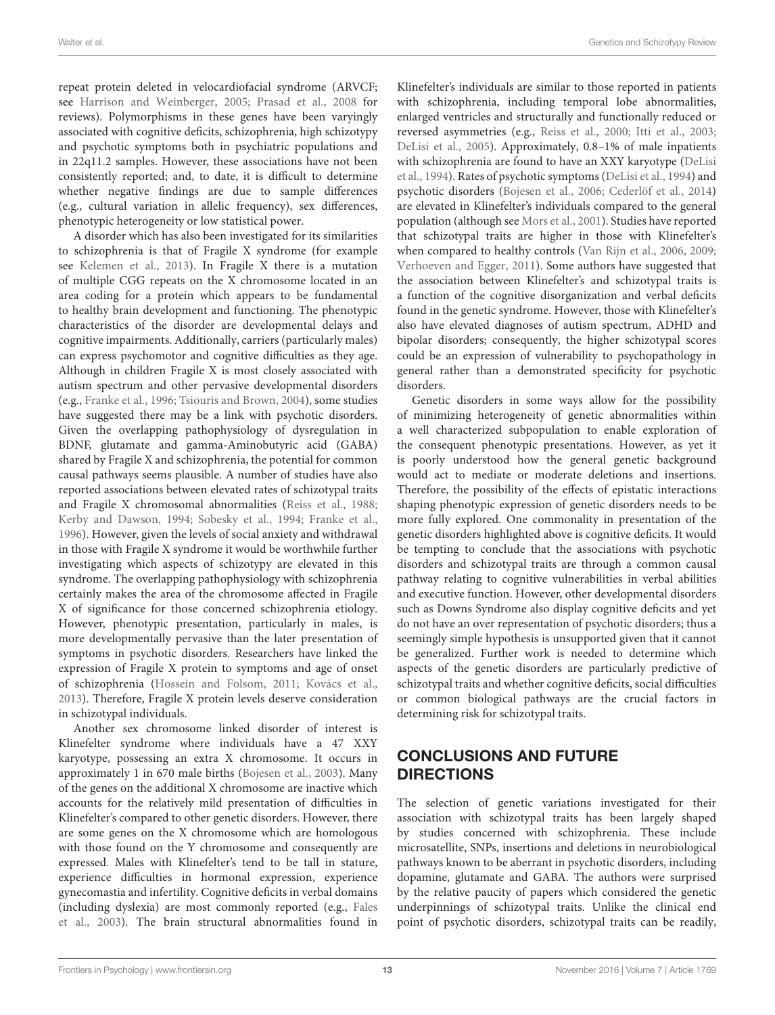repeat protein deleted in velocardiofacial syndrome (ARVCF; see [Harrison and Weinberger, 2005;](#page-15-25) [Prasad et al., 2008](#page-17-26) for reviews). Polymorphisms in these genes have been varyingly associated with cognitive deficits, schizophrenia, high schizotypy and psychotic symptoms both in psychiatric populations and in 22q11.2 samples. However, these associations have not been consistently reported; and, to date, it is difficult to determine whether negative findings are due to sample differences (e.g., cultural variation in allelic frequency), sex differences, phenotypic heterogeneity or low statistical power.

A disorder which has also been investigated for its similarities to schizophrenia is that of Fragile X syndrome (for example see [Kelemen et al., 2013\)](#page-15-26). In Fragile X there is a mutation of multiple CGG repeats on the X chromosome located in an area coding for a protein which appears to be fundamental to healthy brain development and functioning. The phenotypic characteristics of the disorder are developmental delays and cognitive impairments. Additionally, carriers (particularly males) can express psychomotor and cognitive difficulties as they age. Although in children Fragile X is most closely associated with autism spectrum and other pervasive developmental disorders (e.g., [Franke et al., 1996;](#page-15-27) [Tsiouris and Brown, 2004\)](#page-17-27), some studies have suggested there may be a link with psychotic disorders. Given the overlapping pathophysiology of dysregulation in BDNF, glutamate and gamma-Aminobutyric acid (GABA) shared by Fragile X and schizophrenia, the potential for common causal pathways seems plausible. A number of studies have also reported associations between elevated rates of schizotypal traits and Fragile X chromosomal abnormalities [\(Reiss et al., 1988;](#page-17-28) [Kerby and Dawson, 1994;](#page-16-31) [Sobesky et al., 1994;](#page-17-29) [Franke et al.,](#page-15-27) [1996\)](#page-15-27). However, given the levels of social anxiety and withdrawal in those with Fragile X syndrome it would be worthwhile further investigating which aspects of schizotypy are elevated in this syndrome. The overlapping pathophysiology with schizophrenia certainly makes the area of the chromosome affected in Fragile X of significance for those concerned schizophrenia etiology. However, phenotypic presentation, particularly in males, is more developmentally pervasive than the later presentation of symptoms in psychotic disorders. Researchers have linked the expression of Fragile X protein to symptoms and age of onset of schizophrenia [\(Hossein and Folsom, 2011;](#page-15-28) [Kovács et al.,](#page-16-32) [2013\)](#page-16-32). Therefore, Fragile X protein levels deserve consideration in schizotypal individuals.

Another sex chromosome linked disorder of interest is Klinefelter syndrome where individuals have a 47 XXY karyotype, possessing an extra X chromosome. It occurs in approximately 1 in 670 male births [\(Bojesen et al., 2003\)](#page-14-16). Many of the genes on the additional X chromosome are inactive which accounts for the relatively mild presentation of difficulties in Klinefelter's compared to other genetic disorders. However, there are some genes on the X chromosome which are homologous with those found on the Y chromosome and consequently are expressed. Males with Klinefelter's tend to be tall in stature, experience difficulties in hormonal expression, experience gynecomastia and infertility. Cognitive deficits in verbal domains (including dyslexia) are most commonly reported (e.g., Fales et al., [2003\)](#page-15-29). The brain structural abnormalities found in

Klinefelter's individuals are similar to those reported in patients with schizophrenia, including temporal lobe abnormalities, enlarged ventricles and structurally and functionally reduced or reversed asymmetries (e.g., [Reiss et al., 2000;](#page-17-30) [Itti et al., 2003;](#page-15-30) [DeLisi et al., 2005\)](#page-15-31). Approximately, 0.8–1% of male inpatients with schizophrenia are found to have an XXY karyotype (DeLisi et al., [1994\)](#page-15-32). Rates of psychotic symptoms [\(DeLisi et al., 1994\)](#page-15-32) and psychotic disorders [\(Bojesen et al., 2006;](#page-14-17) [Cederlöf et al., 2014\)](#page-14-18) are elevated in Klinefelter's individuals compared to the general population (although see [Mors et al., 2001\)](#page-16-33). Studies have reported that schizotypal traits are higher in those with Klinefelter's when compared to healthy controls [\(Van Rijn et al., 2006,](#page-17-31) [2009;](#page-17-32) [Verhoeven and Egger, 2011\)](#page-17-33). Some authors have suggested that the association between Klinefelter's and schizotypal traits is a function of the cognitive disorganization and verbal deficits found in the genetic syndrome. However, those with Klinefelter's also have elevated diagnoses of autism spectrum, ADHD and bipolar disorders; consequently, the higher schizotypal scores could be an expression of vulnerability to psychopathology in general rather than a demonstrated specificity for psychotic disorders.

Genetic disorders in some ways allow for the possibility of minimizing heterogeneity of genetic abnormalities within a well characterized subpopulation to enable exploration of the consequent phenotypic presentations. However, as yet it is poorly understood how the general genetic background would act to mediate or moderate deletions and insertions. Therefore, the possibility of the effects of epistatic interactions shaping phenotypic expression of genetic disorders needs to be more fully explored. One commonality in presentation of the genetic disorders highlighted above is cognitive deficits. It would be tempting to conclude that the associations with psychotic disorders and schizotypal traits are through a common causal pathway relating to cognitive vulnerabilities in verbal abilities and executive function. However, other developmental disorders such as Downs Syndrome also display cognitive deficits and yet do not have an over representation of psychotic disorders; thus a seemingly simple hypothesis is unsupported given that it cannot be generalized. Further work is needed to determine which aspects of the genetic disorders are particularly predictive of schizotypal traits and whether cognitive deficits, social difficulties or common biological pathways are the crucial factors in determining risk for schizotypal traits.

# CONCLUSIONS AND FUTURE DIRECTIONS

The selection of genetic variations investigated for their association with schizotypal traits has been largely shaped by studies concerned with schizophrenia. These include microsatellite, SNPs, insertions and deletions in neurobiological pathways known to be aberrant in psychotic disorders, including dopamine, glutamate and GABA. The authors were surprised by the relative paucity of papers which considered the genetic underpinnings of schizotypal traits. Unlike the clinical end point of psychotic disorders, schizotypal traits can be readily,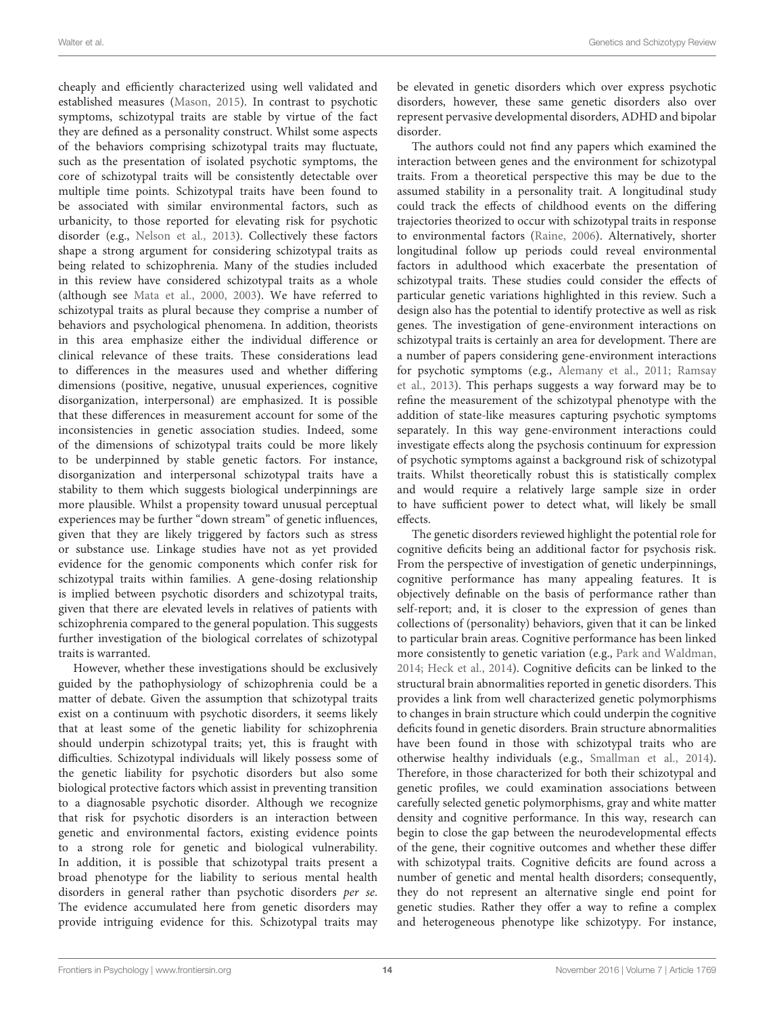cheaply and efficiently characterized using well validated and established measures [\(Mason, 2015\)](#page-16-34). In contrast to psychotic symptoms, schizotypal traits are stable by virtue of the fact they are defined as a personality construct. Whilst some aspects of the behaviors comprising schizotypal traits may fluctuate, such as the presentation of isolated psychotic symptoms, the core of schizotypal traits will be consistently detectable over multiple time points. Schizotypal traits have been found to be associated with similar environmental factors, such as urbanicity, to those reported for elevating risk for psychotic disorder (e.g., [Nelson et al., 2013\)](#page-16-35). Collectively these factors shape a strong argument for considering schizotypal traits as being related to schizophrenia. Many of the studies included in this review have considered schizotypal traits as a whole (although see [Mata et al., 2000,](#page-16-12) [2003\)](#page-16-13). We have referred to schizotypal traits as plural because they comprise a number of behaviors and psychological phenomena. In addition, theorists in this area emphasize either the individual difference or clinical relevance of these traits. These considerations lead to differences in the measures used and whether differing dimensions (positive, negative, unusual experiences, cognitive disorganization, interpersonal) are emphasized. It is possible that these differences in measurement account for some of the inconsistencies in genetic association studies. Indeed, some of the dimensions of schizotypal traits could be more likely to be underpinned by stable genetic factors. For instance, disorganization and interpersonal schizotypal traits have a stability to them which suggests biological underpinnings are more plausible. Whilst a propensity toward unusual perceptual experiences may be further "down stream" of genetic influences, given that they are likely triggered by factors such as stress or substance use. Linkage studies have not as yet provided evidence for the genomic components which confer risk for schizotypal traits within families. A gene-dosing relationship is implied between psychotic disorders and schizotypal traits, given that there are elevated levels in relatives of patients with schizophrenia compared to the general population. This suggests further investigation of the biological correlates of schizotypal traits is warranted.

However, whether these investigations should be exclusively guided by the pathophysiology of schizophrenia could be a matter of debate. Given the assumption that schizotypal traits exist on a continuum with psychotic disorders, it seems likely that at least some of the genetic liability for schizophrenia should underpin schizotypal traits; yet, this is fraught with difficulties. Schizotypal individuals will likely possess some of the genetic liability for psychotic disorders but also some biological protective factors which assist in preventing transition to a diagnosable psychotic disorder. Although we recognize that risk for psychotic disorders is an interaction between genetic and environmental factors, existing evidence points to a strong role for genetic and biological vulnerability. In addition, it is possible that schizotypal traits present a broad phenotype for the liability to serious mental health disorders in general rather than psychotic disorders per se. The evidence accumulated here from genetic disorders may provide intriguing evidence for this. Schizotypal traits may be elevated in genetic disorders which over express psychotic disorders, however, these same genetic disorders also over represent pervasive developmental disorders, ADHD and bipolar disorder.

The authors could not find any papers which examined the interaction between genes and the environment for schizotypal traits. From a theoretical perspective this may be due to the assumed stability in a personality trait. A longitudinal study could track the effects of childhood events on the differing trajectories theorized to occur with schizotypal traits in response to environmental factors [\(Raine, 2006\)](#page-17-34). Alternatively, shorter longitudinal follow up periods could reveal environmental factors in adulthood which exacerbate the presentation of schizotypal traits. These studies could consider the effects of particular genetic variations highlighted in this review. Such a design also has the potential to identify protective as well as risk genes. The investigation of gene-environment interactions on schizotypal traits is certainly an area for development. There are a number of papers considering gene-environment interactions for psychotic symptoms (e.g., [Alemany et al., 2011;](#page-14-19) Ramsay et al., [2013\)](#page-17-35). This perhaps suggests a way forward may be to refine the measurement of the schizotypal phenotype with the addition of state-like measures capturing psychotic symptoms separately. In this way gene-environment interactions could investigate effects along the psychosis continuum for expression of psychotic symptoms against a background risk of schizotypal traits. Whilst theoretically robust this is statistically complex and would require a relatively large sample size in order to have sufficient power to detect what, will likely be small effects.

The genetic disorders reviewed highlight the potential role for cognitive deficits being an additional factor for psychosis risk. From the perspective of investigation of genetic underpinnings, cognitive performance has many appealing features. It is objectively definable on the basis of performance rather than self-report; and, it is closer to the expression of genes than collections of (personality) behaviors, given that it can be linked to particular brain areas. Cognitive performance has been linked more consistently to genetic variation (e.g., [Park and Waldman,](#page-16-36) [2014;](#page-16-36) [Heck et al., 2014\)](#page-15-33). Cognitive deficits can be linked to the structural brain abnormalities reported in genetic disorders. This provides a link from well characterized genetic polymorphisms to changes in brain structure which could underpin the cognitive deficits found in genetic disorders. Brain structure abnormalities have been found in those with schizotypal traits who are otherwise healthy individuals (e.g., [Smallman et al., 2014\)](#page-17-36). Therefore, in those characterized for both their schizotypal and genetic profiles, we could examination associations between carefully selected genetic polymorphisms, gray and white matter density and cognitive performance. In this way, research can begin to close the gap between the neurodevelopmental effects of the gene, their cognitive outcomes and whether these differ with schizotypal traits. Cognitive deficits are found across a number of genetic and mental health disorders; consequently, they do not represent an alternative single end point for genetic studies. Rather they offer a way to refine a complex and heterogeneous phenotype like schizotypy. For instance,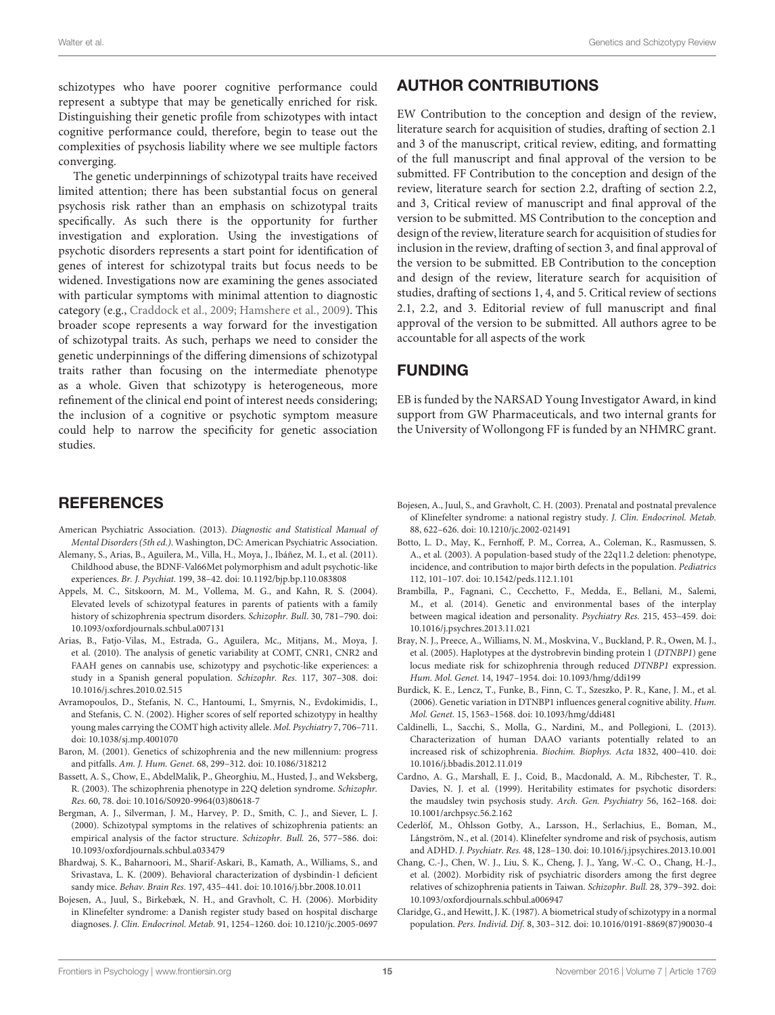schizotypes who have poorer cognitive performance could represent a subtype that may be genetically enriched for risk. Distinguishing their genetic profile from schizotypes with intact cognitive performance could, therefore, begin to tease out the complexities of psychosis liability where we see multiple factors converging.

The genetic underpinnings of schizotypal traits have received limited attention; there has been substantial focus on general psychosis risk rather than an emphasis on schizotypal traits specifically. As such there is the opportunity for further investigation and exploration. Using the investigations of psychotic disorders represents a start point for identification of genes of interest for schizotypal traits but focus needs to be widened. Investigations now are examining the genes associated with particular symptoms with minimal attention to diagnostic category (e.g., [Craddock et al., 2009;](#page-15-34) [Hamshere et al., 2009\)](#page-15-35). This broader scope represents a way forward for the investigation of schizotypal traits. As such, perhaps we need to consider the genetic underpinnings of the differing dimensions of schizotypal traits rather than focusing on the intermediate phenotype as a whole. Given that schizotypy is heterogeneous, more refinement of the clinical end point of interest needs considering; the inclusion of a cognitive or psychotic symptom measure could help to narrow the specificity for genetic association studies.

## **REFERENCES**

- <span id="page-14-0"></span>American Psychiatric Association. (2013). Diagnostic and Statistical Manual of Mental Disorders (5th ed.). Washington, DC: American Psychiatric Association.
- <span id="page-14-19"></span>Alemany, S., Arias, B., Aguilera, M., Villa, H., Moya, J., Ibáñez, M. I., et al. (2011). Childhood abuse, the BDNF-Val66Met polymorphism and adult psychotic-like experiences. Br. J. Psychiat. 199, 38–42. doi: 10.1192/bjp.bp.110.083808
- <span id="page-14-5"></span>Appels, M. C., Sitskoorn, M. M., Vollema, M. G., and Kahn, R. S. (2004). Elevated levels of schizotypal features in parents of patients with a family history of schizophrenia spectrum disorders. Schizophr. Bull. 30, 781–790. doi: 10.1093/oxfordjournals.schbul.a007131
- <span id="page-14-11"></span>Arias, B., Fatjo-Vilas, M., Estrada, G., Aguilera, Mc., Mitjans, M., Moya, J. et al. (2010). The analysis of genetic variability at COMT, CNR1, CNR2 and FAAH genes on cannabis use, schizotypy and psychotic-like experiences: a study in a Spanish general population. Schizophr. Res. 117, 307–308. doi: 10.1016/j.schres.2010.02.515
- <span id="page-14-12"></span>Avramopoulos, D., Stefanis, N. C., Hantoumi, I., Smyrnis, N., Evdokimidis, I., and Stefanis, C. N. (2002). Higher scores of self reported schizotypy in healthy young males carrying the COMT high activity allele. Mol. Psychiatry 7, 706–711. doi: 10.1038/sj.mp.4001070
- <span id="page-14-7"></span>Baron, M. (2001). Genetics of schizophrenia and the new millennium: progress and pitfalls. Am. J. Hum. Genet. 68, 299–312. doi: 10.1086/318212
- <span id="page-14-14"></span>Bassett, A. S., Chow, E., AbdelMalik, P., Gheorghiu, M., Husted, J., and Weksberg, R. (2003). The schizophrenia phenotype in 22Q deletion syndrome. Schizophr. Res. 60, 78. doi: 10.1016/S0920-9964(03)80618-7
- <span id="page-14-6"></span>Bergman, A. J., Silverman, J. M., Harvey, P. D., Smith, C. J., and Siever, L. J. (2000). Schizotypal symptoms in the relatives of schizophrenia patients: an empirical analysis of the factor structure. Schizophr. Bull. 26, 577–586. doi: 10.1093/oxfordjournals.schbul.a033479
- <span id="page-14-10"></span>Bhardwaj, S. K., Baharnoori, M., Sharif-Askari, B., Kamath, A., Williams, S., and Srivastava, L. K. (2009). Behavioral characterization of dysbindin-1 deficient sandy mice. Behav. Brain Res. 197, 435–441. doi: 10.1016/j.bbr.2008.10.011
- <span id="page-14-17"></span>Bojesen, A., Juul, S., Birkebæk, N. H., and Gravholt, C. H. (2006). Morbidity in Klinefelter syndrome: a Danish register study based on hospital discharge diagnoses. J. Clin. Endocrinol. Metab. 91, 1254–1260. doi: 10.1210/jc.2005-0697

# AUTHOR CONTRIBUTIONS

EW Contribution to the conception and design of the review, literature search for acquisition of studies, drafting of section 2.1 and 3 of the manuscript, critical review, editing, and formatting of the full manuscript and final approval of the version to be submitted. FF Contribution to the conception and design of the review, literature search for section 2.2, drafting of section 2.2, and 3, Critical review of manuscript and final approval of the version to be submitted. MS Contribution to the conception and design of the review, literature search for acquisition of studies for inclusion in the review, drafting of section 3, and final approval of the version to be submitted. EB Contribution to the conception and design of the review, literature search for acquisition of studies, drafting of sections 1, 4, and 5. Critical review of sections 2.1, 2.2, and 3. Editorial review of full manuscript and final approval of the version to be submitted. All authors agree to be accountable for all aspects of the work

## FUNDING

EB is funded by the NARSAD Young Investigator Award, in kind support from GW Pharmaceuticals, and two internal grants for the University of Wollongong FF is funded by an NHMRC grant.

- <span id="page-14-16"></span>Bojesen, A., Juul, S., and Gravholt, C. H. (2003). Prenatal and postnatal prevalence of Klinefelter syndrome: a national registry study. J. Clin. Endocrinol. Metab. 88, 622–626. doi: 10.1210/jc.2002-021491
- <span id="page-14-15"></span>Botto, L. D., May, K., Fernhoff, P. M., Correa, A., Coleman, K., Rasmussen, S. A., et al. (2003). A population-based study of the 22q11.2 deletion: phenotype, incidence, and contribution to major birth defects in the population. Pediatrics 112, 101–107. doi: 10.1542/peds.112.1.101
- <span id="page-14-4"></span>Brambilla, P., Fagnani, C., Cecchetto, F., Medda, E., Bellani, M., Salemi, M., et al. (2014). Genetic and environmental bases of the interplay between magical ideation and personality. Psychiatry Res. 215, 453–459. doi: 10.1016/j.psychres.2013.11.021
- <span id="page-14-8"></span>Bray, N. J., Preece, A., Williams, N. M., Moskvina, V., Buckland, P. R., Owen, M. J., et al. (2005). Haplotypes at the dystrobrevin binding protein 1 (DTNBP1) gene locus mediate risk for schizophrenia through reduced DTNBP1 expression. Hum. Mol. Genet. 14, 1947–1954. doi: 10.1093/hmg/ddi199
- <span id="page-14-9"></span>Burdick, K. E., Lencz, T., Funke, B., Finn, C. T., Szeszko, P. R., Kane, J. M., et al. (2006). Genetic variation in DTNBP1 influences general cognitive ability. Hum. Mol. Genet. 15, 1563–1568. doi: 10.1093/hmg/ddi481
- <span id="page-14-13"></span>Caldinelli, L., Sacchi, S., Molla, G., Nardini, M., and Pollegioni, L. (2013). Characterization of human DAAO variants potentially related to an increased risk of schizophrenia. Biochim. Biophys. Acta 1832, 400–410. doi: 10.1016/j.bbadis.2012.11.019
- <span id="page-14-2"></span>Cardno, A. G., Marshall, E. J., Coid, B., Macdonald, A. M., Ribchester, T. R., Davies, N. J. et al. (1999). Heritability estimates for psychotic disorders: the maudsley twin psychosis study. Arch. Gen. Psychiatry 56, 162–168. doi: 10.1001/archpsyc.56.2.162
- <span id="page-14-18"></span>Cederlöf, M., Ohlsson Gotby, A., Larsson, H., Serlachius, E., Boman, M., Långström, N., et al. (2014). Klinefelter syndrome and risk of psychosis, autism and ADHD. J. Psychiatr. Res. 48, 128–130. doi: 10.1016/j.jpsychires.2013.10.001
- <span id="page-14-3"></span>Chang, C.-J., Chen, W. J., Liu, S. K., Cheng, J. J., Yang, W.-C. O., Chang, H.-J., et al. (2002). Morbidity risk of psychiatric disorders among the first degree relatives of schizophrenia patients in Taiwan. Schizophr. Bull. 28, 379–392. doi: 10.1093/oxfordjournals.schbul.a006947
- <span id="page-14-1"></span>Claridge, G., and Hewitt, J. K. (1987). A biometrical study of schizotypy in a normal population. Pers. Individ. Dif. 8, 303–312. doi: 10.1016/0191-8869(87)90030-4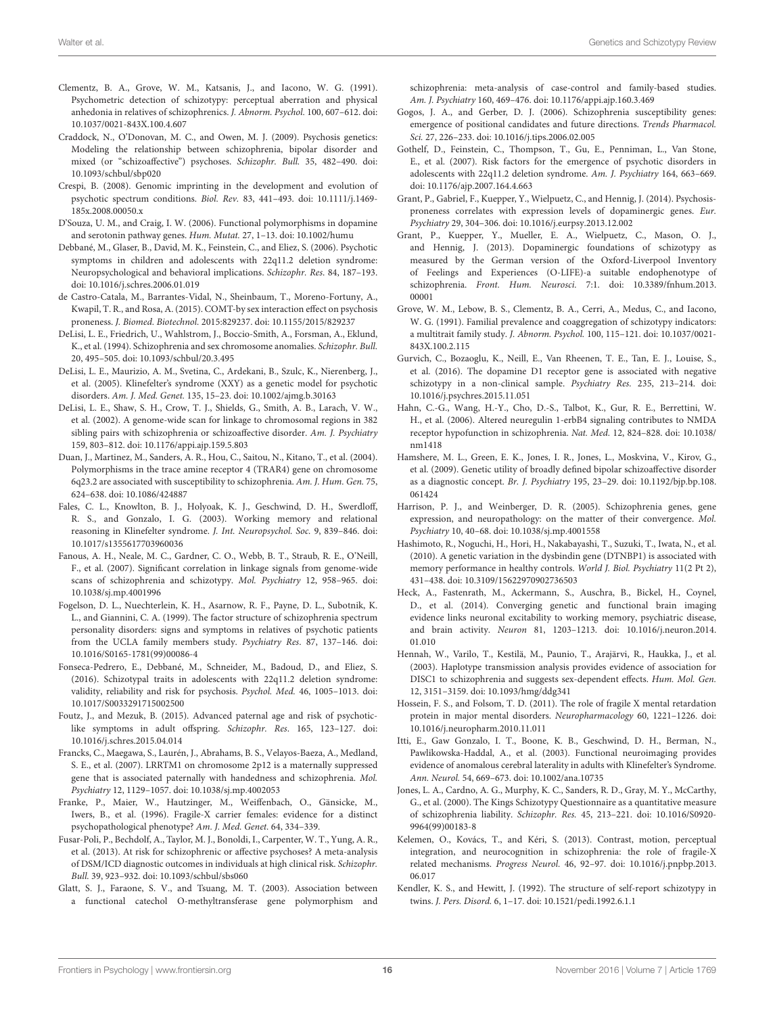- <span id="page-15-3"></span>Clementz, B. A., Grove, W. M., Katsanis, J., and Iacono, W. G. (1991). Psychometric detection of schizotypy: perceptual aberration and physical anhedonia in relatives of schizophrenics. J. Abnorm. Psychol. 100, 607–612. doi: 10.1037/0021-843X.100.4.607
- <span id="page-15-34"></span>Craddock, N., O'Donovan, M. C., and Owen, M. J. (2009). Psychosis genetics: Modeling the relationship between schizophrenia, bipolar disorder and mixed (or "schizoaffective") psychoses. Schizophr. Bull. 35, 482–490. doi: 10.1093/schbul/sbp020
- <span id="page-15-20"></span>Crespi, B. (2008). Genomic imprinting in the development and evolution of psychotic spectrum conditions. Biol. Rev. 83, 441–493. doi: 10.1111/j.1469- 185x.2008.00050.x
- <span id="page-15-18"></span>D'Souza, U. M., and Craig, I. W. (2006). Functional polymorphisms in dopamine and serotonin pathway genes. Hum. Mutat. 27, 1-13. doi: 10.1002/humu
- <span id="page-15-23"></span>Debbané, M., Glaser, B., David, M. K., Feinstein, C., and Eliez, S. (2006). Psychotic symptoms in children and adolescents with 22q11.2 deletion syndrome: Neuropsychological and behavioral implications. Schizophr. Res. 84, 187–193. doi: 10.1016/j.schres.2006.01.019
- <span id="page-15-12"></span>de Castro-Catala, M., Barrantes-Vidal, N., Sheinbaum, T., Moreno-Fortuny, A., Kwapil, T. R., and Rosa, A. (2015). COMT-by sex interaction effect on psychosis proneness. J. Biomed. Biotechnol. 2015:829237. doi: 10.1155/2015/829237
- <span id="page-15-32"></span>DeLisi, L. E., Friedrich, U., Wahlstrom, J., Boccio-Smith, A., Forsman, A., Eklund, K., et al. (1994). Schizophrenia and sex chromosome anomalies. Schizophr. Bull. 20, 495–505. doi: 10.1093/schbul/20.3.495
- <span id="page-15-31"></span>DeLisi, L. E., Maurizio, A. M., Svetina, C., Ardekani, B., Szulc, K., Nierenberg, J., et al. (2005). Klinefelter's syndrome (XXY) as a genetic model for psychotic disorders. Am. J. Med. Genet. 135, 15–23. doi: 10.1002/ajmg.b.30163
- <span id="page-15-8"></span>DeLisi, L. E., Shaw, S. H., Crow, T. J., Shields, G., Smith, A. B., Larach, V. W., et al. (2002). A genome-wide scan for linkage to chromosomal regions in 382 sibling pairs with schizophrenia or schizoaffective disorder. Am. J. Psychiatry 159, 803–812. doi: 10.1176/appi.ajp.159.5.803
- <span id="page-15-10"></span>Duan, J., Martinez, M., Sanders, A. R., Hou, C., Saitou, N., Kitano, T., et al. (2004). Polymorphisms in the trace amine receptor 4 (TRAR4) gene on chromosome 6q23.2 are associated with susceptibility to schizophrenia. Am. J. Hum. Gen. 75, 624–638. doi: 10.1086/424887
- <span id="page-15-29"></span>Fales, C. L., Knowlton, B. J., Holyoak, K. J., Geschwind, D. H., Swerdloff, R. S., and Gonzalo, I. G. (2003). Working memory and relational reasoning in Klinefelter syndrome. J. Int. Neuropsychol. Soc. 9, 839–846. doi: 10.1017/s1355617703960036
- <span id="page-15-7"></span>Fanous, A. H., Neale, M. C., Gardner, C. O., Webb, B. T., Straub, R. E., O'Neill, F., et al. (2007). Significant correlation in linkage signals from genome-wide scans of schizophrenia and schizotypy. Mol. Psychiatry 12, 958–965. doi: 10.1038/sj.mp.4001996
- <span id="page-15-6"></span>Fogelson, D. L., Nuechterlein, K. H., Asarnow, R. F., Payne, D. L., Subotnik, K. L., and Giannini, C. A. (1999). The factor structure of schizophrenia spectrum personality disorders: signs and symptoms in relatives of psychotic patients from the UCLA family members study. Psychiatry Res. 87, 137–146. doi: 10.1016/S0165-1781(99)00086-4
- <span id="page-15-24"></span>Fonseca-Pedrero, E., Debbané, M., Schneider, M., Badoud, D., and Eliez, S. (2016). Schizotypal traits in adolescents with 22q11.2 deletion syndrome: validity, reliability and risk for psychosis. Psychol. Med. 46, 1005–1013. doi: 10.1017/S0033291715002500
- <span id="page-15-19"></span>Foutz, J., and Mezuk, B. (2015). Advanced paternal age and risk of psychoticlike symptoms in adult offspring. Schizophr. Res. 165, 123–127. doi: 10.1016/j.schres.2015.04.014
- <span id="page-15-21"></span>Francks, C., Maegawa, S., Laurén, J., Abrahams, B. S., Velayos-Baeza, A., Medland, S. E., et al. (2007). LRRTM1 on chromosome 2p12 is a maternally suppressed gene that is associated paternally with handedness and schizophrenia. Mol. Psychiatry 12, 1129–1057. doi: 10.1038/sj.mp.4002053
- <span id="page-15-27"></span>Franke, P., Maier, W., Hautzinger, M., Weiffenbach, O., Gänsicke, M., Iwers, B., et al. (1996). Fragile-X carrier females: evidence for a distinct psychopathological phenotype? Am. J. Med. Genet. 64, 334–339.
- <span id="page-15-0"></span>Fusar-Poli, P., Bechdolf, A., Taylor, M. J., Bonoldi, I., Carpenter, W. T., Yung, A. R., et al. (2013). At risk for schizophrenic or affective psychoses? A meta-analysis of DSM/ICD diagnostic outcomes in individuals at high clinical risk. Schizophr. Bull. 39, 923–932. doi: 10.1093/schbul/sbs060
- <span id="page-15-15"></span>Glatt, S. J., Faraone, S. V., and Tsuang, M. T. (2003). Association between a functional catechol O-methyltransferase gene polymorphism and

schizophrenia: meta-analysis of case-control and family-based studies. Am. J. Psychiatry 160, 469–476. doi: 10.1176/appi.ajp.160.3.469

- <span id="page-15-16"></span>Gogos, J. A., and Gerber, D. J. (2006). Schizophrenia susceptibility genes: emergence of positional candidates and future directions. Trends Pharmacol. Sci. 27, 226–233. doi: 10.1016/j.tips.2006.02.005
- <span id="page-15-22"></span>Gothelf, D., Feinstein, C., Thompson, T., Gu, E., Penniman, L., Van Stone, E., et al. (2007). Risk factors for the emergence of psychotic disorders in adolescents with 22q11.2 deletion syndrome. Am. J. Psychiatry 164, 663–669. doi: 10.1176/ajp.2007.164.4.663
- <span id="page-15-17"></span>Grant, P., Gabriel, F., Kuepper, Y., Wielpuetz, C., and Hennig, J. (2014). Psychosisproneness correlates with expression levels of dopaminergic genes. Eur. Psychiatry 29, 304–306. doi: 10.1016/j.eurpsy.2013.12.002
- <span id="page-15-2"></span>Grant, P., Kuepper, Y., Mueller, E. A., Wielpuetz, C., Mason, O. J., and Hennig, J. (2013). Dopaminergic foundations of schizotypy as measured by the German version of the Oxford-Liverpool Inventory of Feelings and Experiences (O-LIFE)-a suitable endophenotype of schizophrenia. Front. Hum. Neurosci. 7:1. doi: 10.3389/fnhum.2013. 00001
- <span id="page-15-4"></span>Grove, W. M., Lebow, B. S., Clementz, B. A., Cerri, A., Medus, C., and Iacono, W. G. (1991). Familial prevalence and coaggregation of schizotypy indicators: a multitrait family study. J. Abnorm. Psychol. 100, 115–121. doi: 10.1037/0021- 843X.100.2.115
- <span id="page-15-13"></span>Gurvich, C., Bozaoglu, K., Neill, E., Van Rheenen, T. E., Tan, E. J., Louise, S., et al. (2016). The dopamine D1 receptor gene is associated with negative schizotypy in a non-clinical sample. Psychiatry Res. 235, 213–214. doi: 10.1016/j.psychres.2015.11.051
- <span id="page-15-14"></span>Hahn, C.-G., Wang, H.-Y., Cho, D.-S., Talbot, K., Gur, R. E., Berrettini, W. H., et al. (2006). Altered neuregulin 1-erbB4 signaling contributes to NMDA receptor hypofunction in schizophrenia. Nat. Med. 12, 824–828. doi: 10.1038/ nm1418
- <span id="page-15-35"></span>Hamshere, M. L., Green, E. K., Jones, I. R., Jones, L., Moskvina, V., Kirov, G., et al. (2009). Genetic utility of broadly defined bipolar schizoaffective disorder as a diagnostic concept. Br. J. Psychiatry 195, 23–29. doi: 10.1192/bjp.bp.108. 061424
- <span id="page-15-25"></span>Harrison, P. J., and Weinberger, D. R. (2005). Schizophrenia genes, gene expression, and neuropathology: on the matter of their convergence. Mol. Psychiatry 10, 40–68. doi: 10.1038/sj.mp.4001558
- <span id="page-15-11"></span>Hashimoto, R., Noguchi, H., Hori, H., Nakabayashi, T., Suzuki, T., Iwata, N., et al. (2010). A genetic variation in the dysbindin gene (DTNBP1) is associated with memory performance in healthy controls. World J. Biol. Psychiatry 11(2 Pt 2), 431–438. doi: 10.3109/15622970902736503
- <span id="page-15-33"></span>Heck, A., Fastenrath, M., Ackermann, S., Auschra, B., Bickel, H., Coynel, D., et al. (2014). Converging genetic and functional brain imaging evidence links neuronal excitability to working memory, psychiatric disease, and brain activity. Neuron 81, 1203–1213. doi: 10.1016/j.neuron.2014. 01.010
- <span id="page-15-9"></span>Hennah, W., Varilo, T., Kestilä, M., Paunio, T., Arajärvi, R., Haukka, J., et al. (2003). Haplotype transmission analysis provides evidence of association for DISC1 to schizophrenia and suggests sex-dependent effects. Hum. Mol. Gen. 12, 3151–3159. doi: 10.1093/hmg/ddg341
- <span id="page-15-28"></span>Hossein, F. S., and Folsom, T. D. (2011). The role of fragile X mental retardation protein in major mental disorders. Neuropharmacology 60, 1221–1226. doi: 10.1016/j.neuropharm.2010.11.011
- <span id="page-15-30"></span>Itti, E., Gaw Gonzalo, I. T., Boone, K. B., Geschwind, D. H., Berman, N., Pawlikowska-Haddal, A., et al. (2003). Functional neuroimaging provides evidence of anomalous cerebral laterality in adults with Klinefelter's Syndrome. Ann. Neurol. 54, 669–673. doi: 10.1002/ana.10735
- <span id="page-15-5"></span>Jones, L. A., Cardno, A. G., Murphy, K. C., Sanders, R. D., Gray, M. Y., McCarthy, G., et al. (2000). The Kings Schizotypy Questionnaire as a quantitative measure of schizophrenia liability. Schizophr. Res. 45, 213–221. doi: 10.1016/S0920- 9964(99)00183-8
- <span id="page-15-26"></span>Kelemen, O., Kovács, T., and Kéri, S. (2013). Contrast, motion, perceptual integration, and neurocognition in schizophrenia: the role of fragile-X related mechanisms. Progress Neurol. 46, 92–97. doi: 10.1016/j.pnpbp.2013. 06.017
- <span id="page-15-1"></span>Kendler, K. S., and Hewitt, J. (1992). The structure of self-report schizotypy in twins. J. Pers. Disord. 6, 1–17. doi: 10.1521/pedi.1992.6.1.1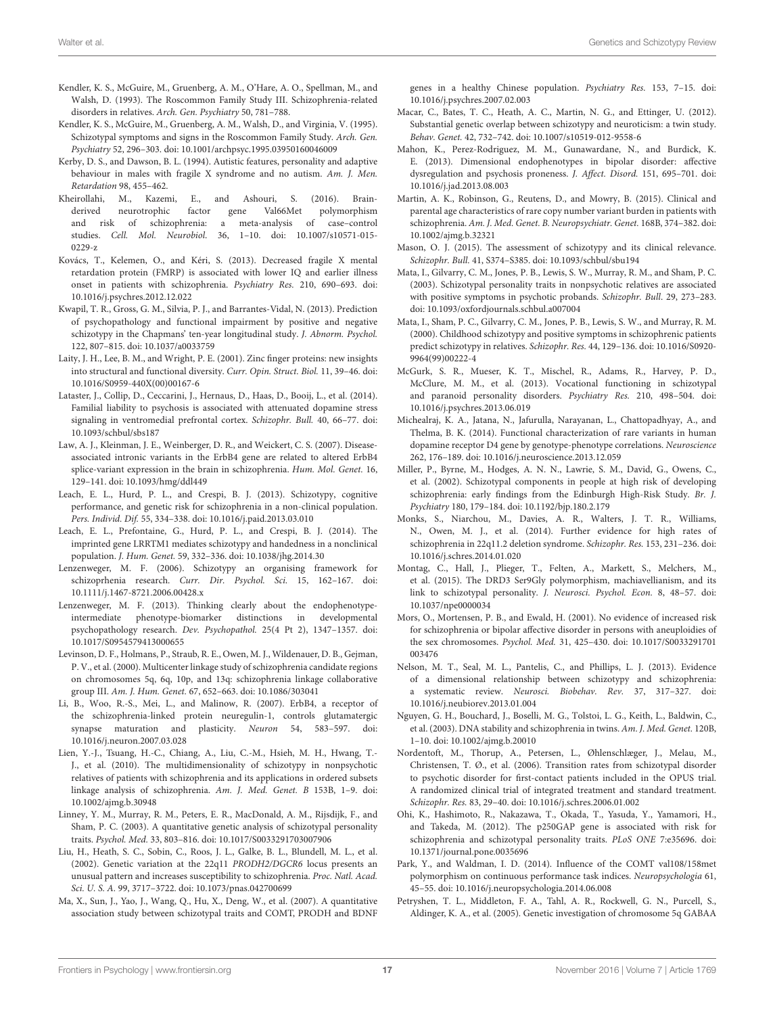- <span id="page-16-4"></span>Kendler, K. S., McGuire, M., Gruenberg, A. M., O'Hare, A. O., Spellman, M., and Walsh, D. (1993). The Roscommon Family Study III. Schizophrenia-related disorders in relatives. Arch. Gen. Psychiatry 50, 781–788.
- <span id="page-16-14"></span>Kendler, K. S., McGuire, M., Gruenberg, A. M., Walsh, D., and Virginia, V. (1995). Schizotypal symptoms and signs in the Roscommon Family Study. Arch. Gen. Psychiatry 52, 296–303. doi: 10.1001/archpsyc.1995.03950160046009
- <span id="page-16-31"></span>Kerby, D. S., and Dawson, B. L. (1994). Autistic features, personality and adaptive behaviour in males with fragile X syndrome and no autism. Am. J. Men. Retardation 98, 455–462.
- <span id="page-16-26"></span>Kheirollahi, M., Kazemi, E., and Ashouri, S. (2016). Brainderived neurotrophic factor gene Val66Met polymorphism and risk of schizophrenia: a meta-analysis of case–control studies. Cell. Mol. Neurobiol. 36, 1–10. doi: 10.1007/s10571-015- 0229-z
- <span id="page-16-32"></span>Kovács, T., Kelemen, O., and Kéri, S. (2013). Decreased fragile X mental retardation protein (FMRP) is associated with lower IQ and earlier illness onset in patients with schizophrenia. Psychiatry Res. 210, 690–693. doi: 10.1016/j.psychres.2012.12.022
- <span id="page-16-2"></span>Kwapil, T. R., Gross, G. M., Silvia, P. J., and Barrantes-Vidal, N. (2013). Prediction of psychopathology and functional impairment by positive and negative schizotypy in the Chapmans' ten-year longitudinal study. J. Abnorm. Psychol. 122, 807–815. doi: 10.1037/a0033759
- <span id="page-16-27"></span>Laity, J. H., Lee, B. M., and Wright, P. E. (2001). Zinc finger proteins: new insights into structural and functional diversity. Curr. Opin. Struct. Biol. 11, 39–46. doi: 10.1016/S0959-440X(00)00167-6
- <span id="page-16-10"></span>Lataster, J., Collip, D., Ceccarini, J., Hernaus, D., Haas, D., Booij, L., et al. (2014). Familial liability to psychosis is associated with attenuated dopamine stress signaling in ventromedial prefrontal cortex. Schizophr. Bull. 40, 66–77. doi: 10.1093/schbul/sbs187
- <span id="page-16-21"></span>Law, A. J., Kleinman, J. E., Weinberger, D. R., and Weickert, C. S. (2007). Diseaseassociated intronic variants in the ErbB4 gene are related to altered ErbB4 splice-variant expression in the brain in schizophrenia. Hum. Mol. Genet. 16, 129–141. doi: 10.1093/hmg/ddl449
- <span id="page-16-22"></span>Leach, E. L., Hurd, P. L., and Crespi, B. J. (2013). Schizotypy, cognitive performance, and genetic risk for schizophrenia in a non-clinical population. Pers. Individ. Dif. 55, 334–338. doi: 10.1016/j.paid.2013.03.010
- <span id="page-16-29"></span>Leach, E. L., Prefontaine, G., Hurd, P. L., and Crespi, B. J. (2014). The imprinted gene LRRTM1 mediates schizotypy and handedness in a nonclinical population. J. Hum. Genet. 59, 332–336. doi: 10.1038/jhg.2014.30
- <span id="page-16-11"></span>Lenzenweger, M. F. (2006). Schizotypy an organising framework for schizoprhenia research. Curr. Dir. Psychol. Sci. 15, 162–167. doi: 10.1111/j.1467-8721.2006.00428.x
- <span id="page-16-8"></span>Lenzenweger, M. F. (2013). Thinking clearly about the endophenotypeintermediate phenotype-biomarker distinctions in developmental psychopathology research. Dev. Psychopathol. 25(4 Pt 2), 1347–1357. doi: 10.1017/S0954579413000655
- <span id="page-16-16"></span>Levinson, D. F., Holmans, P., Straub, R. E., Owen, M. J., Wildenauer, D. B., Gejman, P. V., et al. (2000). Multicenter linkage study of schizophrenia candidate regions on chromosomes 5q, 6q, 10p, and 13q: schizophrenia linkage collaborative group III. Am. J. Hum. Genet. 67, 652–663. doi: 10.1086/303041
- <span id="page-16-20"></span>Li, B., Woo, R.-S., Mei, L., and Malinow, R. (2007). ErbB4, a receptor of the schizophrenia-linked protein neuregulin-1, controls glutamatergic synapse maturation and plasticity. Neuron 54, 583–597. doi: 10.1016/j.neuron.2007.03.028
- <span id="page-16-15"></span>Lien, Y.-J., Tsuang, H.-C., Chiang, A., Liu, C.-M., Hsieh, M. H., Hwang, T.- J., et al. (2010). The multidimensionality of schizotypy in nonpsychotic relatives of patients with schizophrenia and its applications in ordered subsets linkage analysis of schizophrenia. Am. J. Med. Genet. B 153B, 1–9. doi: 10.1002/ajmg.b.30948
- <span id="page-16-5"></span>Linney, Y. M., Murray, R. M., Peters, E. R., MacDonald, A. M., Rijsdijk, F., and Sham, P. C. (2003). A quantitative genetic analysis of schizotypal personality traits. Psychol. Med. 33, 803–816. doi: 10.1017/S0033291703007906
- <span id="page-16-17"></span>Liu, H., Heath, S. C., Sobin, C., Roos, J. L., Galke, B. L., Blundell, M. L., et al. (2002). Genetic variation at the 22q11 PRODH2/DGCR6 locus presents an unusual pattern and increases susceptibility to schizophrenia. Proc. Natl. Acad. Sci. U. S. A. 99, 3717–3722. doi: 10.1073/pnas.042700699
- <span id="page-16-23"></span>Ma, X., Sun, J., Yao, J., Wang, Q., Hu, X., Deng, W., et al. (2007). A quantitative association study between schizotypal traits and COMT, PRODH and BDNF

genes in a healthy Chinese population. Psychiatry Res. 153, 7–15. doi: 10.1016/j.psychres.2007.02.003

- <span id="page-16-6"></span>Macar, C., Bates, T. C., Heath, A. C., Martin, N. G., and Ettinger, U. (2012). Substantial genetic overlap between schizotypy and neuroticism: a twin study. Behav. Genet. 42, 732–742. doi: 10.1007/s10519-012-9558-6
- <span id="page-16-7"></span>Mahon, K., Perez-Rodriguez, M. M., Gunawardane, N., and Burdick, K. E. (2013). Dimensional endophenotypes in bipolar disorder: affective dysregulation and psychosis proneness. J. Affect. Disord. 151, 695–701. doi: 10.1016/j.jad.2013.08.003
- <span id="page-16-28"></span>Martin, A. K., Robinson, G., Reutens, D., and Mowry, B. (2015). Clinical and parental age characteristics of rare copy number variant burden in patients with schizophrenia. Am. J. Med. Genet. B. Neuropsychiatr. Genet. 168B, 374–382. doi: 10.1002/ajmg.b.32321
- <span id="page-16-34"></span>Mason, O. J. (2015). The assessment of schizotypy and its clinical relevance. Schizophr. Bull. 41, S374–S385. doi: 10.1093/schbul/sbu194
- <span id="page-16-13"></span>Mata, I., Gilvarry, C. M., Jones, P. B., Lewis, S. W., Murray, R. M., and Sham, P. C. (2003). Schizotypal personality traits in nonpsychotic relatives are associated with positive symptoms in psychotic probands. Schizophr. Bull. 29, 273–283. doi: 10.1093/oxfordjournals.schbul.a007004
- <span id="page-16-12"></span>Mata, I., Sham, P. C., Gilvarry, C. M., Jones, P. B., Lewis, S. W., and Murray, R. M. (2000). Childhood schizotypy and positive symptoms in schizophrenic patients predict schizotypy in relatives. Schizophr. Res. 44, 129–136. doi: 10.1016/S0920- 9964(99)00222-4
- <span id="page-16-0"></span>McGurk, S. R., Mueser, K. T., Mischel, R., Adams, R., Harvey, P. D., McClure, M. M., et al. (2013). Vocational functioning in schizotypal and paranoid personality disorders. Psychiatry Res. 210, 498–504. doi: 10.1016/j.psychres.2013.06.019
- <span id="page-16-25"></span>Michealraj, K. A., Jatana, N., Jafurulla, Narayanan, L., Chattopadhyay, A., and Thelma, B. K. (2014). Functional characterization of rare variants in human dopamine receptor D4 gene by genotype-phenotype correlations. Neuroscience 262, 176–189. doi: 10.1016/j.neuroscience.2013.12.059
- <span id="page-16-1"></span>Miller, P., Byrne, M., Hodges, A. N. N., Lawrie, S. M., David, G., Owens, C., et al. (2002). Schizotypal components in people at high risk of developing schizophrenia: early findings from the Edinburgh High-Risk Study. Br. J. Psychiatry 180, 179–184. doi: 10.1192/bjp.180.2.179
- <span id="page-16-30"></span>Monks, S., Niarchou, M., Davies, A. R., Walters, J. T. R., Williams, N., Owen, M. J., et al. (2014). Further evidence for high rates of schizophrenia in 22q11.2 deletion syndrome. Schizophr. Res. 153, 231–236. doi: 10.1016/j.schres.2014.01.020
- <span id="page-16-24"></span>Montag, C., Hall, J., Plieger, T., Felten, A., Markett, S., Melchers, M., et al. (2015). The DRD3 Ser9Gly polymorphism, machiavellianism, and its link to schizotypal personality. J. Neurosci. Psychol. Econ. 8, 48–57. doi: 10.1037/npe0000034
- <span id="page-16-33"></span>Mors, O., Mortensen, P. B., and Ewald, H. (2001). No evidence of increased risk for schizophrenia or bipolar affective disorder in persons with aneuploidies of the sex chromosomes. Psychol. Med. 31, 425–430. doi: 10.1017/S0033291701 003476
- <span id="page-16-35"></span>Nelson, M. T., Seal, M. L., Pantelis, C., and Phillips, L. J. (2013). Evidence of a dimensional relationship between schizotypy and schizophrenia: a systematic review. Neurosci. Biobehav. Rev. 37, 317–327. doi: 10.1016/j.neubiorev.2013.01.004
- <span id="page-16-9"></span>Nguyen, G. H., Bouchard, J., Boselli, M. G., Tolstoi, L. G., Keith, L., Baldwin, C., et al. (2003). DNA stability and schizophrenia in twins. Am. J. Med. Genet. 120B, 1–10. doi: 10.1002/ajmg.b.20010
- <span id="page-16-3"></span>Nordentoft, M., Thorup, A., Petersen, L., Øhlenschlæger, J., Melau, M., Christensen, T. Ø., et al. (2006). Transition rates from schizotypal disorder to psychotic disorder for first-contact patients included in the OPUS trial. A randomized clinical trial of integrated treatment and standard treatment. Schizophr. Res. 83, 29–40. doi: 10.1016/j.schres.2006.01.002
- <span id="page-16-19"></span>Ohi, K., Hashimoto, R., Nakazawa, T., Okada, T., Yasuda, Y., Yamamori, H., and Takeda, M. (2012). The p250GAP gene is associated with risk for schizophrenia and schizotypal personality traits. PLoS ONE 7:e35696. doi: 10.1371/journal.pone.0035696
- <span id="page-16-36"></span>Park, Y., and Waldman, I. D. (2014). Influence of the COMT val108/158met polymorphism on continuous performance task indices. Neuropsychologia 61, 45–55. doi: 10.1016/j.neuropsychologia.2014.06.008
- <span id="page-16-18"></span>Petryshen, T. L., Middleton, F. A., Tahl, A. R., Rockwell, G. N., Purcell, S., Aldinger, K. A., et al. (2005). Genetic investigation of chromosome 5q GABAA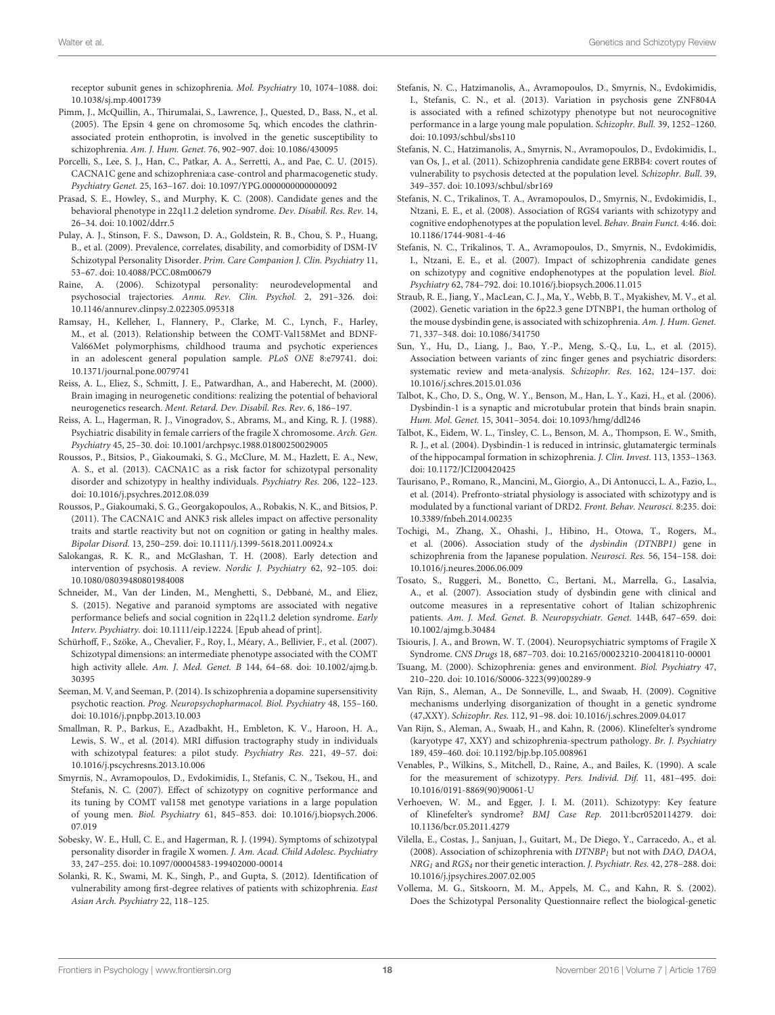receptor subunit genes in schizophrenia. Mol. Psychiatry 10, 1074–1088. doi: 10.1038/sj.mp.4001739

- <span id="page-17-6"></span>Pimm, J., McQuillin, A., Thirumalai, S., Lawrence, J., Quested, D., Bass, N., et al. (2005). The Epsin 4 gene on chromosome 5q, which encodes the clathrinassociated protein enthoprotin, is involved in the genetic susceptibility to schizophrenia. Am. J. Hum. Genet. 76, 902–907. doi: 10.1086/430095
- <span id="page-17-22"></span>Porcelli, S., Lee, S. J., Han, C., Patkar, A. A., Serretti, A., and Pae, C. U. (2015). CACNA1C gene and schizophrenia:a case-control and pharmacogenetic study. Psychiatry Genet. 25, 163–167. doi: 10.1097/YPG.0000000000000092
- <span id="page-17-26"></span>Prasad, S. E., Howley, S., and Murphy, K. C. (2008). Candidate genes and the behavioral phenotype in 22q11.2 deletion syndrome. Dev. Disabil. Res. Rev. 14, 26–34. doi: 10.1002/ddrr.5
- <span id="page-17-0"></span>Pulay, A. J., Stinson, F. S., Dawson, D. A., Goldstein, R. B., Chou, S. P., Huang, B., et al. (2009). Prevalence, correlates, disability, and comorbidity of DSM-IV Schizotypal Personality Disorder. Prim. Care Companion J. Clin. Psychiatry 11, 53–67. doi: 10.4088/PCC.08m00679
- <span id="page-17-34"></span>Raine, A. (2006). Schizotypal personality: neurodevelopmental and psychosocial trajectories. Annu. Rev. Clin. Psychol. 2, 291–326. doi: 10.1146/annurev.clinpsy.2.022305.095318
- <span id="page-17-35"></span>Ramsay, H., Kelleher, I., Flannery, P., Clarke, M. C., Lynch, F., Harley, M., et al. (2013). Relationship between the COMT-Val158Met and BDNF-Val66Met polymorphisms, childhood trauma and psychotic experiences in an adolescent general population sample. PLoS ONE 8:e79741. doi: 10.1371/journal.pone.0079741
- <span id="page-17-30"></span>Reiss, A. L., Eliez, S., Schmitt, J. E., Patwardhan, A., and Haberecht, M. (2000). Brain imaging in neurogenetic conditions: realizing the potential of behavioral neurogenetics research. Ment. Retard. Dev. Disabil. Res. Rev. 6, 186–197.
- <span id="page-17-28"></span>Reiss, A. L., Hagerman, R. J., Vinogradov, S., Abrams, M., and King, R. J. (1988). Psychiatric disability in female carriers of the fragile X chromosome. Arch. Gen. Psychiatry 45, 25–30. doi: 10.1001/archpsyc.1988.01800250029005
- <span id="page-17-14"></span>Roussos, P., Bitsios, P., Giakoumaki, S. G., McClure, M. M., Hazlett, E. A., New, A. S., et al. (2013). CACNA1C as a risk factor for schizotypal personality disorder and schizotypy in healthy individuals. Psychiatry Res. 206, 122–123. doi: 10.1016/j.psychres.2012.08.039
- <span id="page-17-23"></span>Roussos, P., Giakoumaki, S. G., Georgakopoulos, A., Robakis, N. K., and Bitsios, P. (2011). The CACNA1C and ANK3 risk alleles impact on affective personality traits and startle reactivity but not on cognition or gating in healthy males. Bipolar Disord. 13, 250–259. doi: 10.1111/j.1399-5618.2011.00924.x
- <span id="page-17-1"></span>Salokangas, R. K. R., and McGlashan, T. H. (2008). Early detection and intervention of psychosis. A review. Nordic J. Psychiatry 62, 92–105. doi: 10.1080/08039480801984008
- <span id="page-17-25"></span>Schneider, M., Van der Linden, M., Menghetti, S., Debbané, M., and Eliez, S. (2015). Negative and paranoid symptoms are associated with negative performance beliefs and social cognition in 22q11.2 deletion syndrome. Early Interv. Psychiatry. doi: 10.1111/eip.12224. [Epub ahead of print].
- <span id="page-17-15"></span>Schürhoff, F., Szöke, A., Chevalier, F., Roy, I., Méary, A., Bellivier, F., et al. (2007). Schizotypal dimensions: an intermediate phenotype associated with the COMT high activity allele. Am. J. Med. Genet. B 144, 64–68. doi: 10.1002/ajmg.b. 30395
- <span id="page-17-21"></span>Seeman, M. V, and Seeman, P. (2014). Is schizophrenia a dopamine supersensitivity psychotic reaction. Prog. Neuropsychopharmacol. Biol. Psychiatry 48, 155–160. doi: 10.1016/j.pnpbp.2013.10.003
- <span id="page-17-36"></span>Smallman, R. P., Barkus, E., Azadbakht, H., Embleton, K. V., Haroon, H. A., Lewis, S. W., et al. (2014). MRI diffusion tractography study in individuals with schizotypal features: a pilot study. Psychiatry Res. 221, 49–57. doi: 10.1016/j.pscychresns.2013.10.006
- <span id="page-17-16"></span>Smyrnis, N., Avramopoulos, D., Evdokimidis, I., Stefanis, C. N., Tsekou, H., and Stefanis, N. C. (2007). Effect of schizotypy on cognitive performance and its tuning by COMT val158 met genotype variations in a large population of young men. Biol. Psychiatry 61, 845–853. doi: 10.1016/j.biopsych.2006. 07.019
- <span id="page-17-29"></span>Sobesky, W. E., Hull, C. E., and Hagerman, R. J. (1994). Symptoms of schizotypal personality disorder in fragile X women. J. Am. Acad. Child Adolesc. Psychiatry 33, 247–255. doi: 10.1097/00004583-199402000-00014
- <span id="page-17-3"></span>Solanki, R. K., Swami, M. K., Singh, P., and Gupta, S. (2012). Identification of vulnerability among first-degree relatives of patients with schizophrenia. East Asian Arch. Psychiatry 22, 118–125.
- <span id="page-17-20"></span>Stefanis, N. C., Hatzimanolis, A., Avramopoulos, D., Smyrnis, N., Evdokimidis, I., Stefanis, C. N., et al. (2013). Variation in psychosis gene ZNF804A is associated with a refined schizotypy phenotype but not neurocognitive performance in a large young male population. Schizophr. Bull. 39, 1252–1260. doi: 10.1093/schbul/sbs110
- <span id="page-17-19"></span>Stefanis, N. C., Hatzimanolis, A., Smyrnis, N., Avramopoulos, D., Evdokimidis, I., van Os, J., et al. (2011). Schizophrenia candidate gene ERBB4: covert routes of vulnerability to psychosis detected at the population level. Schizophr. Bull. 39, 349–357. doi: 10.1093/schbul/sbr169
- <span id="page-17-13"></span>Stefanis, N. C., Trikalinos, T. A., Avramopoulos, D., Smyrnis, N., Evdokimidis, I., Ntzani, E. E., et al. (2008). Association of RGS4 variants with schizotypy and cognitive endophenotypes at the population level. Behav. Brain Funct. 4:46. doi: 10.1186/1744-9081-4-46
- <span id="page-17-17"></span>Stefanis, N. C., Trikalinos, T. A., Avramopoulos, D., Smyrnis, N., Evdokimidis, I., Ntzani, E. E., et al. (2007). Impact of schizophrenia candidate genes on schizotypy and cognitive endophenotypes at the population level. Biol. Psychiatry 62, 784–792. doi: 10.1016/j.biopsych.2006.11.015
- <span id="page-17-12"></span>Straub, R. E., Jiang, Y., MacLean, C. J., Ma, Y., Webb, B. T., Myakishev, M. V., et al. (2002). Genetic variation in the 6p22.3 gene DTNBP1, the human ortholog of the mouse dysbindin gene, is associated with schizophrenia. Am. J. Hum. Genet. 71, 337–348. doi: 10.1086/341750
- <span id="page-17-24"></span>Sun, Y., Hu, D., Liang, J., Bao, Y.-P., Meng, S.-Q., Lu, L., et al. (2015). Association between variants of zinc finger genes and psychiatric disorders: systematic review and meta-analysis. Schizophr. Res. 162, 124–137. doi: 10.1016/j.schres.2015.01.036
- <span id="page-17-10"></span>Talbot, K., Cho, D. S., Ong, W. Y., Benson, M., Han, L. Y., Kazi, H., et al. (2006). Dysbindin-1 is a synaptic and microtubular protein that binds brain snapin. Hum. Mol. Genet. 15, 3041–3054. doi: 10.1093/hmg/ddl246
- <span id="page-17-11"></span>Talbot, K., Eidem, W. L., Tinsley, C. L., Benson, M. A., Thompson, E. W., Smith, R. J., et al. (2004). Dysbindin-1 is reduced in intrinsic, glutamatergic terminals of the hippocampal formation in schizophrenia. J. Clin. Invest. 113, 1353–1363. doi: 10.1172/JCI200420425
- <span id="page-17-18"></span>Taurisano, P., Romano, R., Mancini, M., Giorgio, A., Di Antonucci, L. A., Fazio, L., et al. (2014). Prefronto-striatal physiology is associated with schizotypy and is modulated by a functional variant of DRD2. Front. Behav. Neurosci. 8:235. doi: 10.3389/fnbeh.2014.00235
- <span id="page-17-7"></span>Tochigi, M., Zhang, X., Ohashi, J., Hibino, H., Otowa, T., Rogers, M., et al. (2006). Association study of the dysbindin (DTNBP1) gene in schizophrenia from the Japanese population. Neurosci. Res. 56, 154–158. doi: 10.1016/j.neures.2006.06.009
- <span id="page-17-8"></span>Tosato, S., Ruggeri, M., Bonetto, C., Bertani, M., Marrella, G., Lasalvia, A., et al. (2007). Association study of dysbindin gene with clinical and outcome measures in a representative cohort of Italian schizophrenic patients. Am. J. Med. Genet. B. Neuropsychiatr. Genet. 144B, 647–659. doi: 10.1002/ajmg.b.30484
- <span id="page-17-27"></span>Tsiouris, J. A., and Brown, W. T. (2004). Neuropsychiatric symptoms of Fragile X Syndrome. CNS Drugs 18, 687–703. doi: 10.2165/00023210-200418110-00001
- <span id="page-17-2"></span>Tsuang, M. (2000). Schizophrenia: genes and environment. Biol. Psychiatry 47, 210–220. doi: 10.1016/S0006-3223(99)00289-9
- <span id="page-17-32"></span>Van Rijn, S., Aleman, A., De Sonneville, L., and Swaab, H. (2009). Cognitive mechanisms underlying disorganization of thought in a genetic syndrome (47,XXY). Schizophr. Res. 112, 91–98. doi: 10.1016/j.schres.2009.04.017
- <span id="page-17-31"></span>Van Rijn, S., Aleman, A., Swaab, H., and Kahn, R. (2006). Klinefelter's syndrome (karyotype 47, XXY) and schizophrenia-spectrum pathology. Br. J. Psychiatry 189, 459–460. doi: 10.1192/bjp.bp.105.008961
- <span id="page-17-5"></span>Venables, P., Wilkins, S., Mitchell, D., Raine, A., and Bailes, K. (1990). A scale for the measurement of schizotypy. Pers. Individ. Dif. 11, 481–495. doi: 10.1016/0191-8869(90)90061-U
- <span id="page-17-33"></span>Verhoeven, W. M., and Egger, J. I. M. (2011). Schizotypy: Key feature of Klinefelter's syndrome? BMJ Case Rep. 2011:bcr0520114279. doi: 10.1136/bcr.05.2011.4279
- <span id="page-17-9"></span>Vilella, E., Costas, J., Sanjuan, J., Guitart, M., De Diego, Y., Carracedo, A., et al. (2008). Association of schizophrenia with  $DTNBP<sub>1</sub>$  but not with DAO, DAOA,  $NRG<sub>1</sub>$  and  $RGS<sub>4</sub>$  nor their genetic interaction. J. Psychiatr. Res. 42, 278–288. doi: 10.1016/j.jpsychires.2007.02.005
- <span id="page-17-4"></span>Vollema, M. G., Sitskoorn, M. M., Appels, M. C., and Kahn, R. S. (2002). Does the Schizotypal Personality Questionnaire reflect the biological-genetic